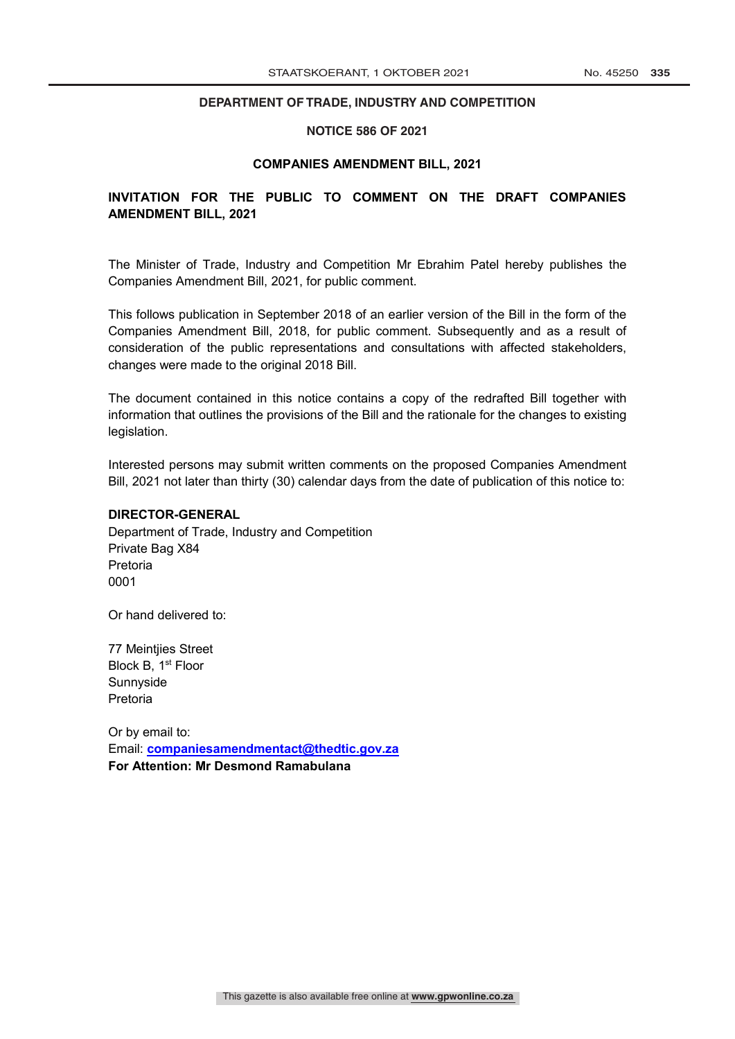# **DEPARTMENT OF TRADE, INDUSTRY AND COMPETITION DEPARTMENT OF TRADE, INDUSTRY AND COMPETITION**

#### **NOTICE 586 OF 2021**

#### **COMPANIES AMENDMENT BILL, 2021**

# **INVITATION FOR THE PUBLIC TO COMMENT ON THE DRAFT COMPANIES AMENDMENT BILL, 2021**

The Minister of Trade, Industry and Competition Mr Ebrahim Patel hereby publishes the Companies Amendment Bill, 2021, for public comment.

This follows publication in September 2018 of an earlier version of the Bill in the form of the Companies Amendment Bill, 2018, for public comment. Subsequently and as a result of consideration of the public representations and consultations with affected stakeholders, changes were made to the original 2018 Bill.

The document contained in this notice contains a copy of the redrafted Bill together with information that outlines the provisions of the Bill and the rationale for the changes to existing legislation.

Interested persons may submit written comments on the proposed Companies Amendment Bill, 2021 not later than thirty (30) calendar days from the date of publication of this notice to:

#### **DIRECTOR-GENERAL**

Department of Trade, Industry and Competition Private Bag X84 Pretoria 0001

Or hand delivered to:

77 Meintjies Street Block B, 1<sup>st</sup> Floor Sunnyside Pretoria

Or by email to: Email: **companiesamendmentact@thedtic.gov.za For Attention: Mr Desmond Ramabulana**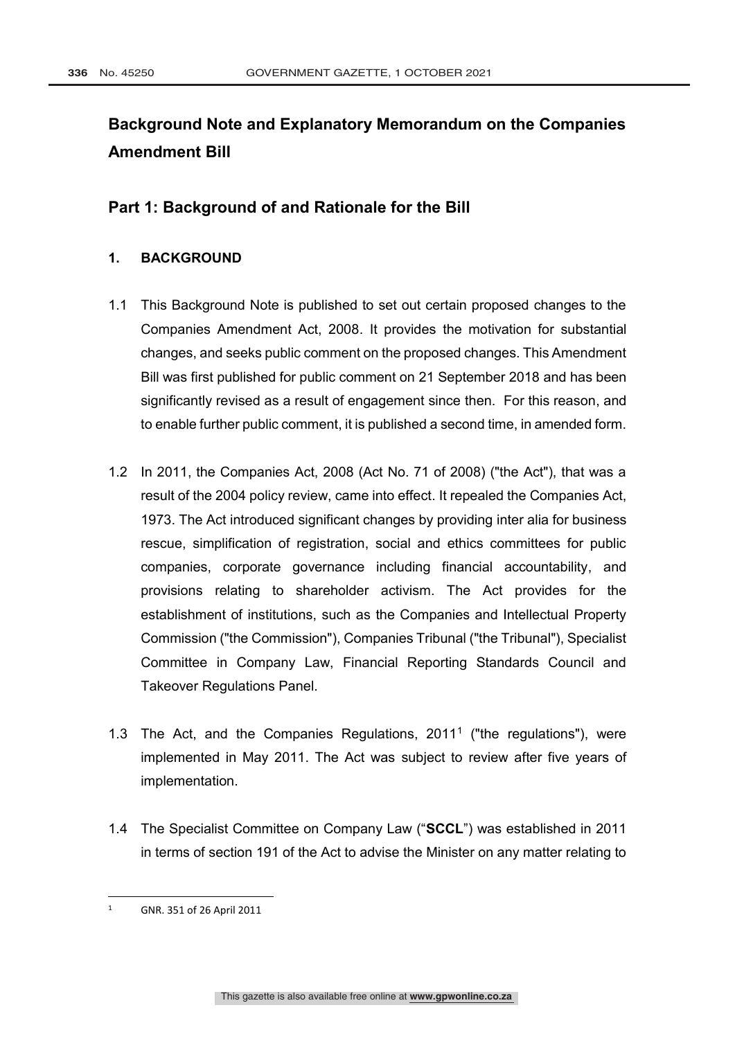# **Background Note and Explanatory Memorandum on the Companies Amendment Bill**

# **Part 1: Background of and Rationale for the Bill**

# **1. BACKGROUND**

- 1.1 This Background Note is published to set out certain proposed changes to the Companies Amendment Act, 2008. It provides the motivation for substantial changes, and seeks public comment on the proposed changes. This Amendment Bill was first published for public comment on 21 September 2018 and has been significantly revised as a result of engagement since then. For this reason, and to enable further public comment, it is published a second time, in amended form.
- 1.2 In 2011, the Companies Act, 2008 (Act No. 71 of 2008) ("the Act"), that was a result of the 2004 policy review, came into effect. It repealed the Companies Act, 1973. The Act introduced significant changes by providing inter alia for business rescue, simplification of registration, social and ethics committees for public companies, corporate governance including financial accountability, and provisions relating to shareholder activism. The Act provides for the establishment of institutions, such as the Companies and Intellectual Property Commission ("the Commission"), Companies Tribunal ("the Tribunal"), Specialist Committee in Company Law, Financial Reporting Standards Council and Takeover Regulations Panel.
- 1.3 The Act, and the Companies Regulations, 20111 ("the regulations"), were implemented in May 2011. The Act was subject to review after five years of implementation.
- 1.4 The Specialist Committee on Company Law ("**SCCL**") was established in 2011 in terms of section 191 of the Act to advise the Minister on any matter relating to

 <sup>1</sup> GNR. 351 of 26 April 2011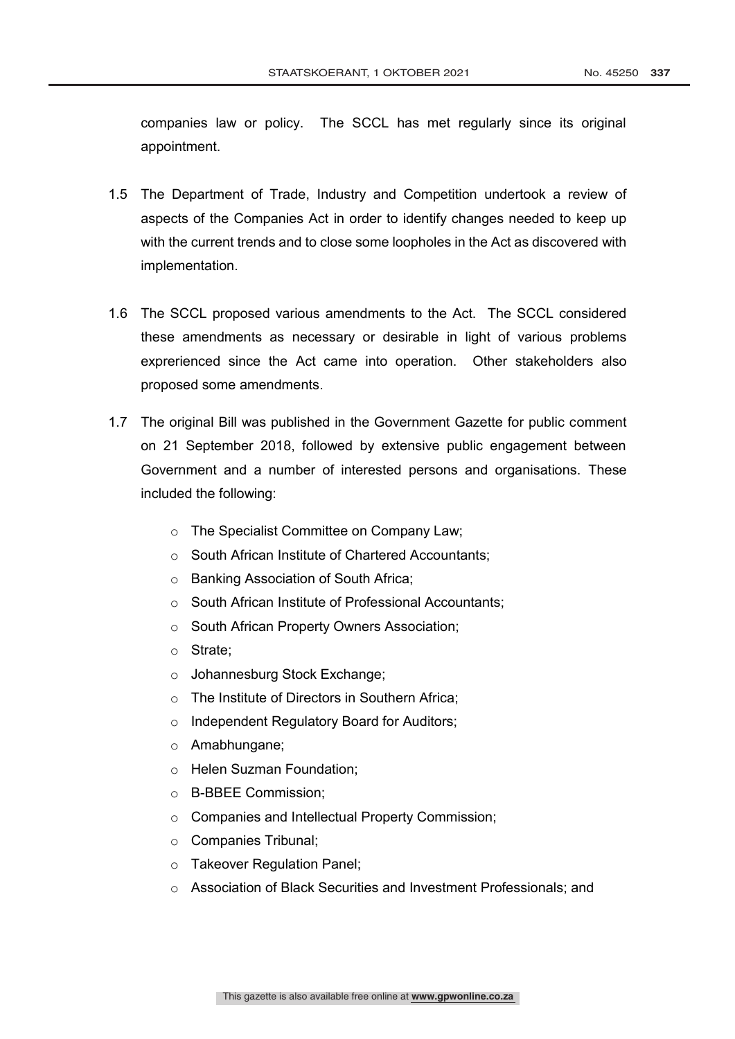companies law or policy. The SCCL has met regularly since its original appointment.

- 1.5 The Department of Trade, Industry and Competition undertook a review of aspects of the Companies Act in order to identify changes needed to keep up with the current trends and to close some loopholes in the Act as discovered with implementation.
- 1.6 The SCCL proposed various amendments to the Act. The SCCL considered these amendments as necessary or desirable in light of various problems exprerienced since the Act came into operation. Other stakeholders also proposed some amendments.
- 1.7 The original Bill was published in the Government Gazette for public comment on 21 September 2018, followed by extensive public engagement between Government and a number of interested persons and organisations. These included the following:
	- o The Specialist Committee on Company Law;
	- o South African Institute of Chartered Accountants;
	- o Banking Association of South Africa;
	- o South African Institute of Professional Accountants;
	- o South African Property Owners Association;
	- o Strate;
	- o Johannesburg Stock Exchange;
	- o The Institute of Directors in Southern Africa;
	- o Independent Regulatory Board for Auditors;
	- o Amabhungane;
	- o Helen Suzman Foundation;
	- o B-BBEE Commission;
	- o Companies and Intellectual Property Commission;
	- o Companies Tribunal;
	- o Takeover Regulation Panel;
	- o Association of Black Securities and Investment Professionals; and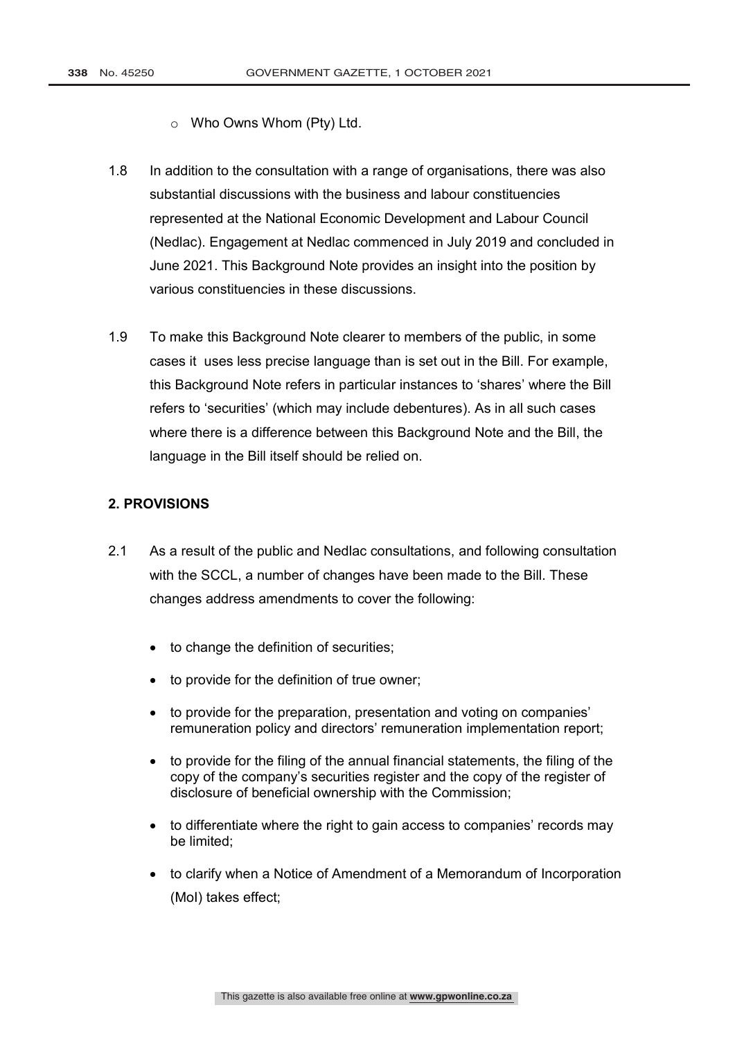- o Who Owns Whom (Pty) Ltd.
- 1.8 In addition to the consultation with a range of organisations, there was also substantial discussions with the business and labour constituencies represented at the National Economic Development and Labour Council (Nedlac). Engagement at Nedlac commenced in July 2019 and concluded in June 2021. This Background Note provides an insight into the position by various constituencies in these discussions.
- 1.9 To make this Background Note clearer to members of the public, in some cases it uses less precise language than is set out in the Bill. For example, this Background Note refers in particular instances to 'shares' where the Bill refers to 'securities' (which may include debentures). As in all such cases where there is a difference between this Background Note and the Bill, the language in the Bill itself should be relied on.

## **2. PROVISIONS**

- 2.1 As a result of the public and Nedlac consultations, and following consultation with the SCCL, a number of changes have been made to the Bill. These changes address amendments to cover the following:
	- to change the definition of securities;
	- to provide for the definition of true owner;
	- to provide for the preparation, presentation and voting on companies' remuneration policy and directors' remuneration implementation report;
	- to provide for the filing of the annual financial statements, the filing of the copy of the company's securities register and the copy of the register of disclosure of beneficial ownership with the Commission;
	- to differentiate where the right to gain access to companies' records may be limited;
	- to clarify when a Notice of Amendment of a Memorandum of Incorporation (MoI) takes effect;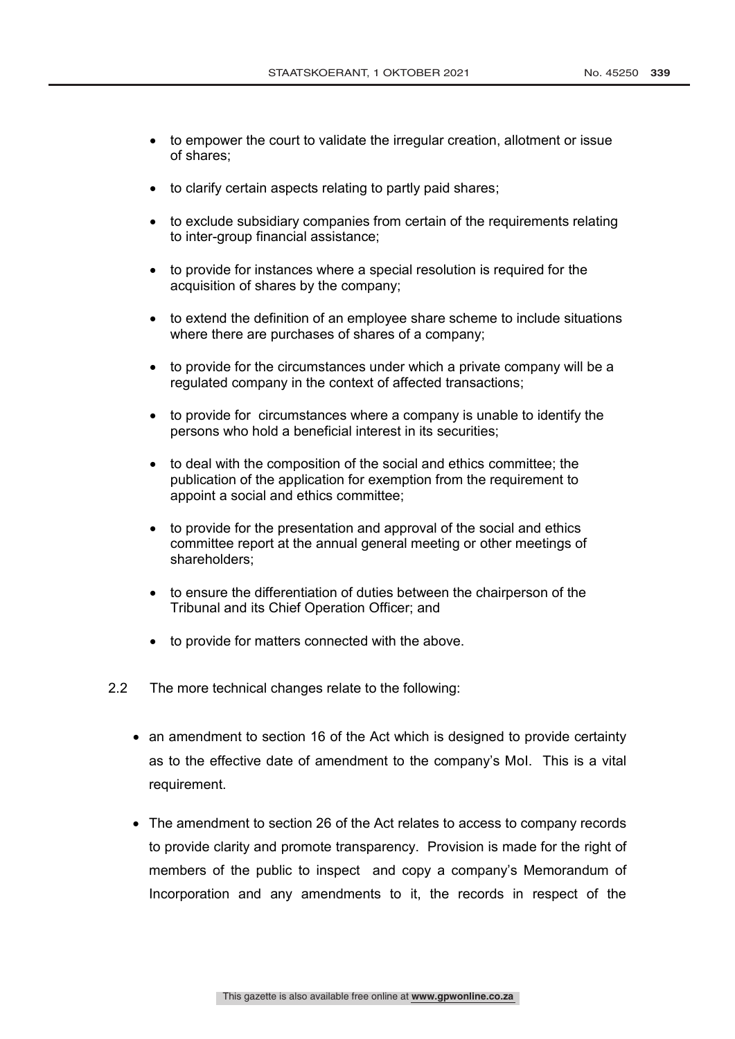- to empower the court to validate the irregular creation, allotment or issue of shares;
- to clarify certain aspects relating to partly paid shares;
- to exclude subsidiary companies from certain of the requirements relating to inter-group financial assistance;
- to provide for instances where a special resolution is required for the acquisition of shares by the company;
- to extend the definition of an employee share scheme to include situations where there are purchases of shares of a company;
- to provide for the circumstances under which a private company will be a regulated company in the context of affected transactions;
- to provide for circumstances where a company is unable to identify the persons who hold a beneficial interest in its securities;
- to deal with the composition of the social and ethics committee; the publication of the application for exemption from the requirement to appoint a social and ethics committee;
- to provide for the presentation and approval of the social and ethics committee report at the annual general meeting or other meetings of shareholders;
- to ensure the differentiation of duties between the chairperson of the Tribunal and its Chief Operation Officer; and
- to provide for matters connected with the above.
- 2.2 The more technical changes relate to the following:
	- an amendment to section 16 of the Act which is designed to provide certainty as to the effective date of amendment to the company's MoI. This is a vital requirement.
	- The amendment to section 26 of the Act relates to access to company records to provide clarity and promote transparency. Provision is made for the right of members of the public to inspect and copy a company's Memorandum of Incorporation and any amendments to it, the records in respect of the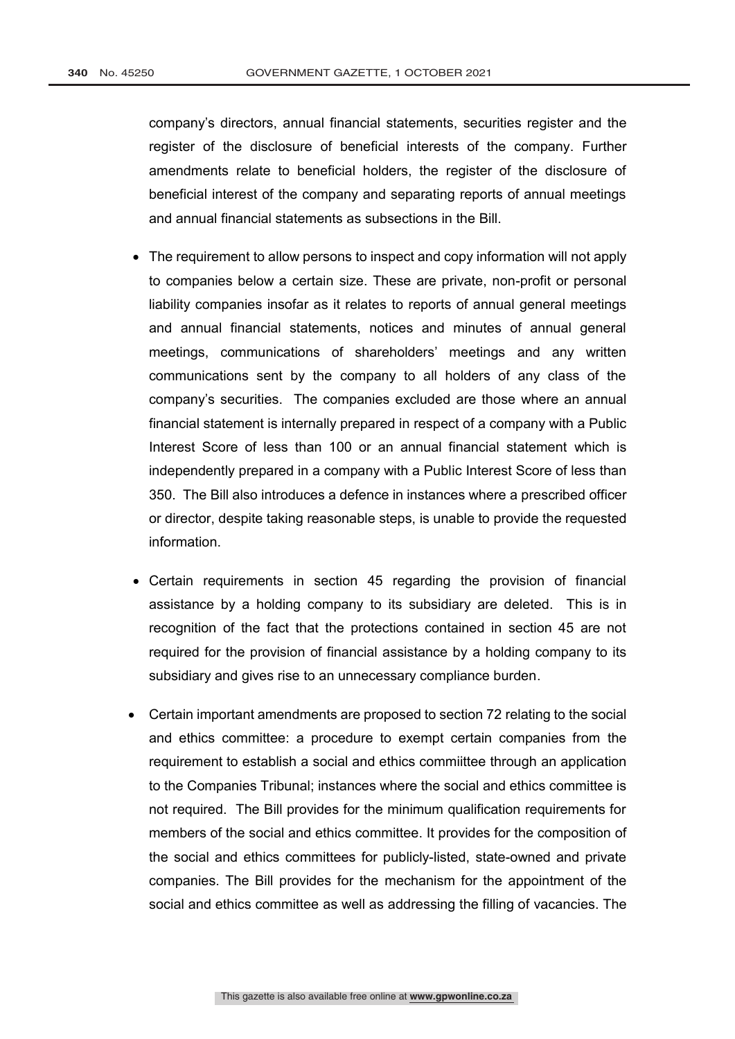company's directors, annual financial statements, securities register and the register of the disclosure of beneficial interests of the company. Further amendments relate to beneficial holders, the register of the disclosure of beneficial interest of the company and separating reports of annual meetings and annual financial statements as subsections in the Bill.

- The requirement to allow persons to inspect and copy information will not apply to companies below a certain size. These are private, non-profit or personal liability companies insofar as it relates to reports of annual general meetings and annual financial statements, notices and minutes of annual general meetings, communications of shareholders' meetings and any written communications sent by the company to all holders of any class of the company's securities. The companies excluded are those where an annual financial statement is internally prepared in respect of a company with a Public Interest Score of less than 100 or an annual financial statement which is independently prepared in a company with a Public Interest Score of less than 350. The Bill also introduces a defence in instances where a prescribed officer or director, despite taking reasonable steps, is unable to provide the requested information.
- Certain requirements in section 45 regarding the provision of financial assistance by a holding company to its subsidiary are deleted. This is in recognition of the fact that the protections contained in section 45 are not required for the provision of financial assistance by a holding company to its subsidiary and gives rise to an unnecessary compliance burden.
- Certain important amendments are proposed to section 72 relating to the social and ethics committee: a procedure to exempt certain companies from the requirement to establish a social and ethics commiittee through an application to the Companies Tribunal; instances where the social and ethics committee is not required. The Bill provides for the minimum qualification requirements for members of the social and ethics committee. It provides for the composition of the social and ethics committees for publicly-listed, state-owned and private companies. The Bill provides for the mechanism for the appointment of the social and ethics committee as well as addressing the filling of vacancies. The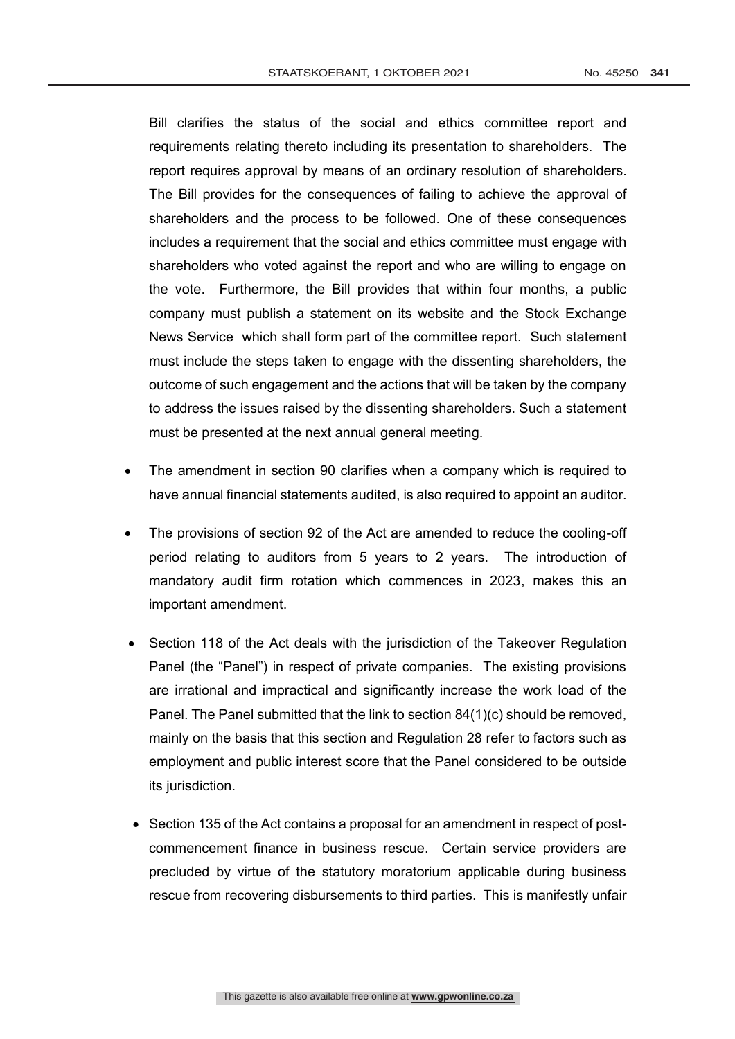Bill clarifies the status of the social and ethics committee report and requirements relating thereto including its presentation to shareholders. The report requires approval by means of an ordinary resolution of shareholders. The Bill provides for the consequences of failing to achieve the approval of shareholders and the process to be followed. One of these consequences includes a requirement that the social and ethics committee must engage with shareholders who voted against the report and who are willing to engage on the vote. Furthermore, the Bill provides that within four months, a public company must publish a statement on its website and the Stock Exchange News Service which shall form part of the committee report. Such statement must include the steps taken to engage with the dissenting shareholders, the outcome of such engagement and the actions that will be taken by the company to address the issues raised by the dissenting shareholders. Such a statement must be presented at the next annual general meeting.

- The amendment in section 90 clarifies when a company which is required to have annual financial statements audited, is also required to appoint an auditor.
- The provisions of section 92 of the Act are amended to reduce the cooling-off period relating to auditors from 5 years to 2 years. The introduction of mandatory audit firm rotation which commences in 2023, makes this an important amendment.
- Section 118 of the Act deals with the jurisdiction of the Takeover Regulation Panel (the "Panel") in respect of private companies. The existing provisions are irrational and impractical and significantly increase the work load of the Panel. The Panel submitted that the link to section 84(1)(c) should be removed, mainly on the basis that this section and Regulation 28 refer to factors such as employment and public interest score that the Panel considered to be outside its jurisdiction.
- Section 135 of the Act contains a proposal for an amendment in respect of postcommencement finance in business rescue. Certain service providers are precluded by virtue of the statutory moratorium applicable during business rescue from recovering disbursements to third parties. This is manifestly unfair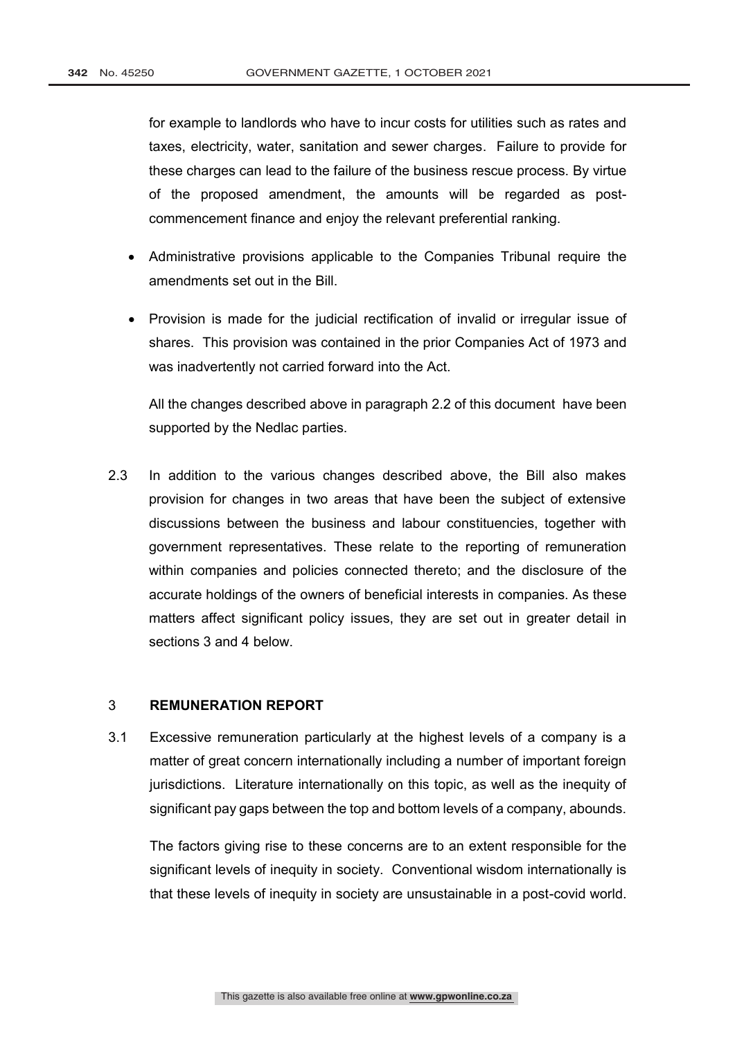for example to landlords who have to incur costs for utilities such as rates and taxes, electricity, water, sanitation and sewer charges. Failure to provide for these charges can lead to the failure of the business rescue process. By virtue of the proposed amendment, the amounts will be regarded as postcommencement finance and enjoy the relevant preferential ranking.

- Administrative provisions applicable to the Companies Tribunal require the amendments set out in the Bill.
- Provision is made for the judicial rectification of invalid or irregular issue of shares. This provision was contained in the prior Companies Act of 1973 and was inadvertently not carried forward into the Act.

All the changes described above in paragraph 2.2 of this document have been supported by the Nedlac parties.

2.3 In addition to the various changes described above, the Bill also makes provision for changes in two areas that have been the subject of extensive discussions between the business and labour constituencies, together with government representatives. These relate to the reporting of remuneration within companies and policies connected thereto; and the disclosure of the accurate holdings of the owners of beneficial interests in companies. As these matters affect significant policy issues, they are set out in greater detail in sections 3 and 4 below.

## 3 **REMUNERATION REPORT**

3.1 Excessive remuneration particularly at the highest levels of a company is a matter of great concern internationally including a number of important foreign jurisdictions. Literature internationally on this topic, as well as the inequity of significant pay gaps between the top and bottom levels of a company, abounds.

The factors giving rise to these concerns are to an extent responsible for the significant levels of inequity in society. Conventional wisdom internationally is that these levels of inequity in society are unsustainable in a post-covid world.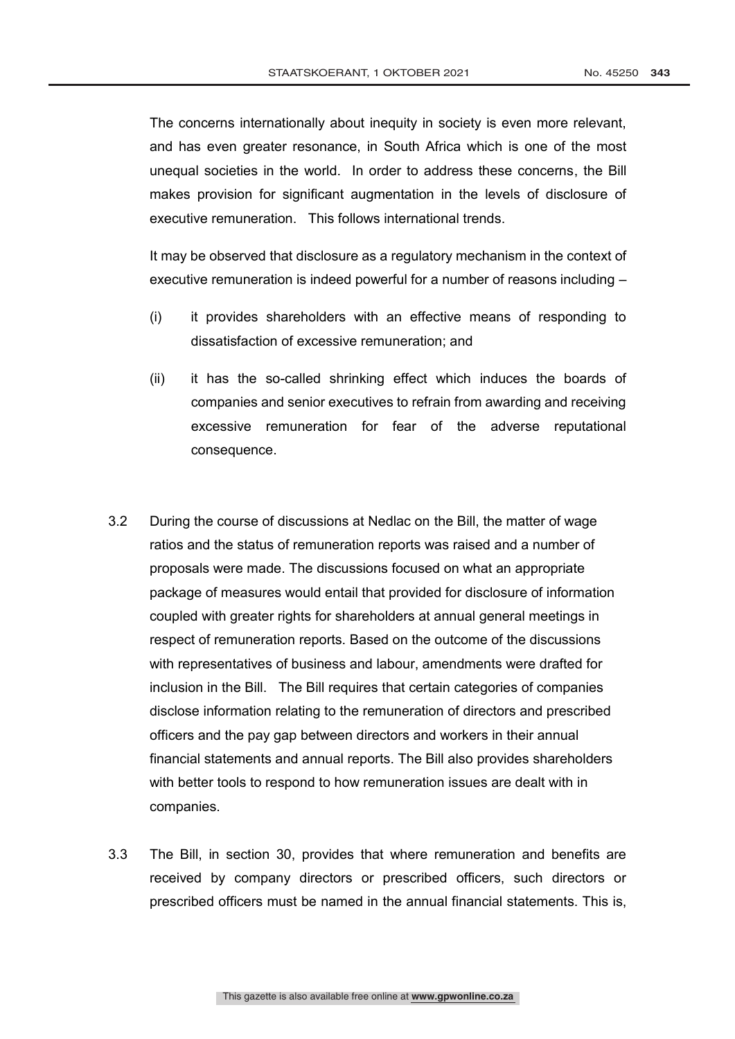The concerns internationally about inequity in society is even more relevant, and has even greater resonance, in South Africa which is one of the most unequal societies in the world. In order to address these concerns, the Bill makes provision for significant augmentation in the levels of disclosure of executive remuneration. This follows international trends.

It may be observed that disclosure as a regulatory mechanism in the context of executive remuneration is indeed powerful for a number of reasons including –

- (i) it provides shareholders with an effective means of responding to dissatisfaction of excessive remuneration; and
- (ii) it has the so-called shrinking effect which induces the boards of companies and senior executives to refrain from awarding and receiving excessive remuneration for fear of the adverse reputational consequence.
- 3.2 During the course of discussions at Nedlac on the Bill, the matter of wage ratios and the status of remuneration reports was raised and a number of proposals were made. The discussions focused on what an appropriate package of measures would entail that provided for disclosure of information coupled with greater rights for shareholders at annual general meetings in respect of remuneration reports. Based on the outcome of the discussions with representatives of business and labour, amendments were drafted for inclusion in the Bill. The Bill requires that certain categories of companies disclose information relating to the remuneration of directors and prescribed officers and the pay gap between directors and workers in their annual financial statements and annual reports. The Bill also provides shareholders with better tools to respond to how remuneration issues are dealt with in companies.
- 3.3 The Bill, in section 30, provides that where remuneration and benefits are received by company directors or prescribed officers, such directors or prescribed officers must be named in the annual financial statements. This is,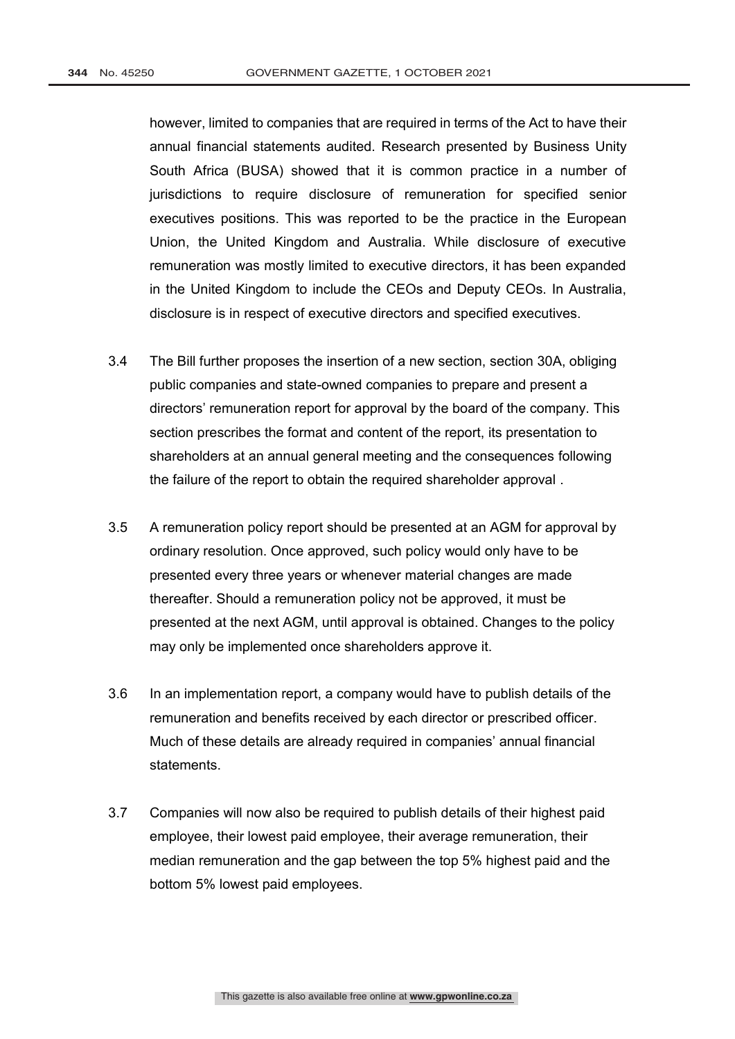however, limited to companies that are required in terms of the Act to have their annual financial statements audited. Research presented by Business Unity South Africa (BUSA) showed that it is common practice in a number of jurisdictions to require disclosure of remuneration for specified senior executives positions. This was reported to be the practice in the European Union, the United Kingdom and Australia. While disclosure of executive remuneration was mostly limited to executive directors, it has been expanded in the United Kingdom to include the CEOs and Deputy CEOs. In Australia, disclosure is in respect of executive directors and specified executives.

- 3.4 The Bill further proposes the insertion of a new section, section 30A, obliging public companies and state-owned companies to prepare and present a directors' remuneration report for approval by the board of the company. This section prescribes the format and content of the report, its presentation to shareholders at an annual general meeting and the consequences following the failure of the report to obtain the required shareholder approval .
- 3.5 A remuneration policy report should be presented at an AGM for approval by ordinary resolution. Once approved, such policy would only have to be presented every three years or whenever material changes are made thereafter. Should a remuneration policy not be approved, it must be presented at the next AGM, until approval is obtained. Changes to the policy may only be implemented once shareholders approve it.
- 3.6 In an implementation report, a company would have to publish details of the remuneration and benefits received by each director or prescribed officer. Much of these details are already required in companies' annual financial statements.
- 3.7 Companies will now also be required to publish details of their highest paid employee, their lowest paid employee, their average remuneration, their median remuneration and the gap between the top 5% highest paid and the bottom 5% lowest paid employees.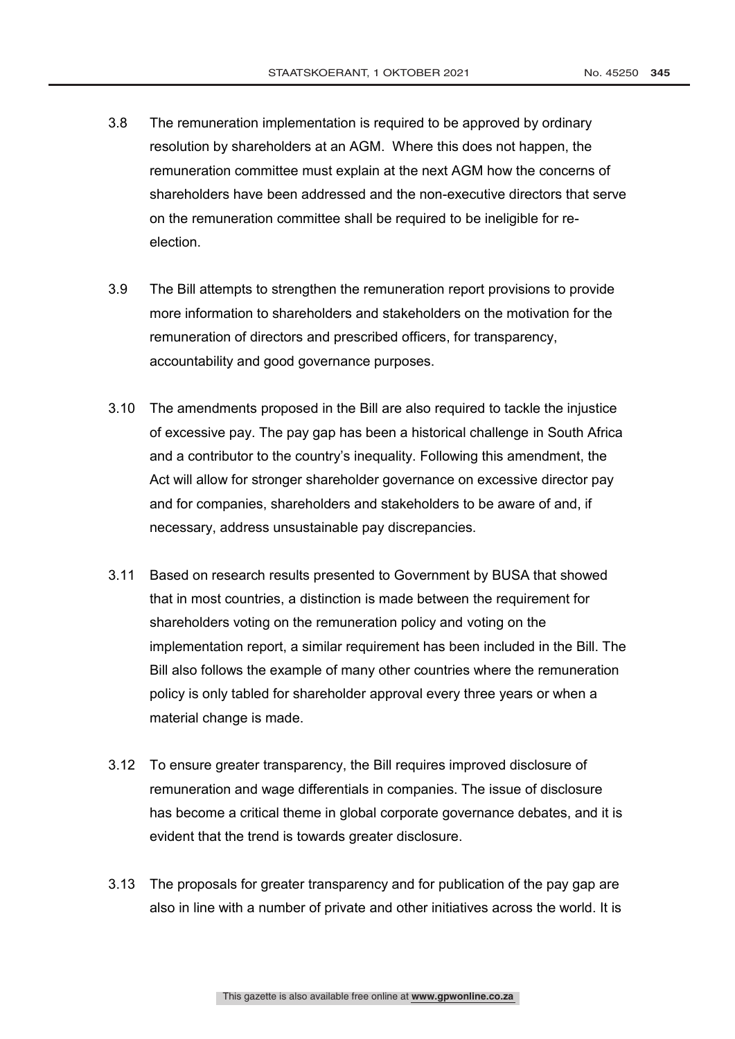- 3.8 The remuneration implementation is required to be approved by ordinary resolution by shareholders at an AGM. Where this does not happen, the remuneration committee must explain at the next AGM how the concerns of shareholders have been addressed and the non-executive directors that serve on the remuneration committee shall be required to be ineligible for reelection.
- 3.9 The Bill attempts to strengthen the remuneration report provisions to provide more information to shareholders and stakeholders on the motivation for the remuneration of directors and prescribed officers, for transparency, accountability and good governance purposes.
- 3.10 The amendments proposed in the Bill are also required to tackle the injustice of excessive pay. The pay gap has been a historical challenge in South Africa and a contributor to the country's inequality. Following this amendment, the Act will allow for stronger shareholder governance on excessive director pay and for companies, shareholders and stakeholders to be aware of and, if necessary, address unsustainable pay discrepancies.
- 3.11 Based on research results presented to Government by BUSA that showed that in most countries, a distinction is made between the requirement for shareholders voting on the remuneration policy and voting on the implementation report, a similar requirement has been included in the Bill. The Bill also follows the example of many other countries where the remuneration policy is only tabled for shareholder approval every three years or when a material change is made.
- 3.12 To ensure greater transparency, the Bill requires improved disclosure of remuneration and wage differentials in companies. The issue of disclosure has become a critical theme in global corporate governance debates, and it is evident that the trend is towards greater disclosure.
- 3.13 The proposals for greater transparency and for publication of the pay gap are also in line with a number of private and other initiatives across the world. It is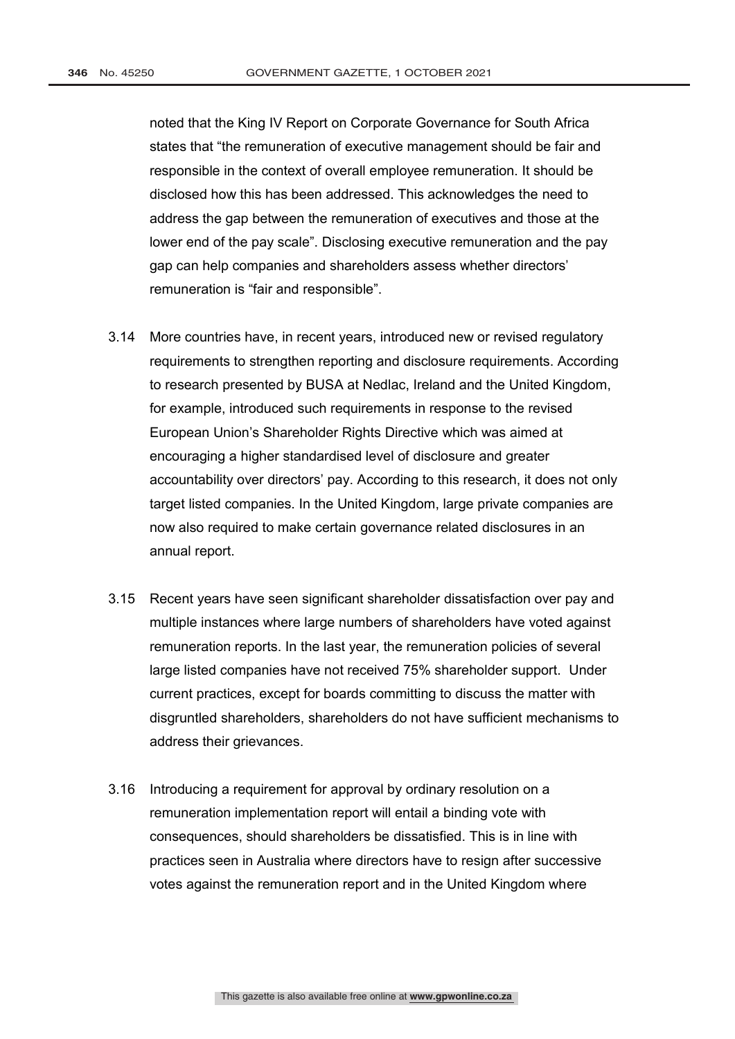noted that the King IV Report on Corporate Governance for South Africa states that "the remuneration of executive management should be fair and responsible in the context of overall employee remuneration. It should be disclosed how this has been addressed. This acknowledges the need to address the gap between the remuneration of executives and those at the lower end of the pay scale". Disclosing executive remuneration and the pay gap can help companies and shareholders assess whether directors' remuneration is "fair and responsible".

- 3.14 More countries have, in recent years, introduced new or revised regulatory requirements to strengthen reporting and disclosure requirements. According to research presented by BUSA at Nedlac, Ireland and the United Kingdom, for example, introduced such requirements in response to the revised European Union's Shareholder Rights Directive which was aimed at encouraging a higher standardised level of disclosure and greater accountability over directors' pay. According to this research, it does not only target listed companies. In the United Kingdom, large private companies are now also required to make certain governance related disclosures in an annual report.
- 3.15 Recent years have seen significant shareholder dissatisfaction over pay and multiple instances where large numbers of shareholders have voted against remuneration reports. In the last year, the remuneration policies of several large listed companies have not received 75% shareholder support. Under current practices, except for boards committing to discuss the matter with disgruntled shareholders, shareholders do not have sufficient mechanisms to address their grievances.
- 3.16 Introducing a requirement for approval by ordinary resolution on a remuneration implementation report will entail a binding vote with consequences, should shareholders be dissatisfied. This is in line with practices seen in Australia where directors have to resign after successive votes against the remuneration report and in the United Kingdom where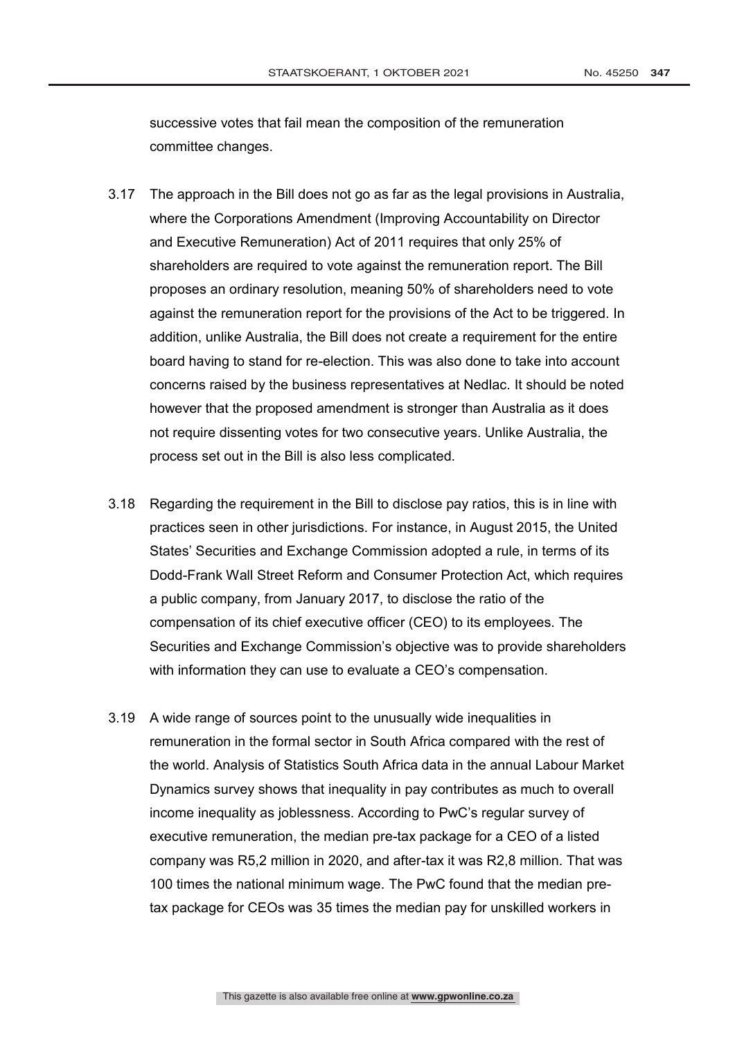successive votes that fail mean the composition of the remuneration committee changes.

- 3.17 The approach in the Bill does not go as far as the legal provisions in Australia, where the Corporations Amendment (Improving Accountability on Director and Executive Remuneration) Act of 2011 requires that only 25% of shareholders are required to vote against the remuneration report. The Bill proposes an ordinary resolution, meaning 50% of shareholders need to vote against the remuneration report for the provisions of the Act to be triggered. In addition, unlike Australia, the Bill does not create a requirement for the entire board having to stand for re-election. This was also done to take into account concerns raised by the business representatives at Nedlac. It should be noted however that the proposed amendment is stronger than Australia as it does not require dissenting votes for two consecutive years. Unlike Australia, the process set out in the Bill is also less complicated.
- 3.18 Regarding the requirement in the Bill to disclose pay ratios, this is in line with practices seen in other jurisdictions. For instance, in August 2015, the United States' Securities and Exchange Commission adopted a rule, in terms of its Dodd-Frank Wall Street Reform and Consumer Protection Act, which requires a public company, from January 2017, to disclose the ratio of the compensation of its chief executive officer (CEO) to its employees. The Securities and Exchange Commission's objective was to provide shareholders with information they can use to evaluate a CEO's compensation.
- 3.19 A wide range of sources point to the unusually wide inequalities in remuneration in the formal sector in South Africa compared with the rest of the world. Analysis of Statistics South Africa data in the annual Labour Market Dynamics survey shows that inequality in pay contributes as much to overall income inequality as joblessness. According to PwC's regular survey of executive remuneration, the median pre-tax package for a CEO of a listed company was R5,2 million in 2020, and after-tax it was R2,8 million. That was 100 times the national minimum wage. The PwC found that the median pretax package for CEOs was 35 times the median pay for unskilled workers in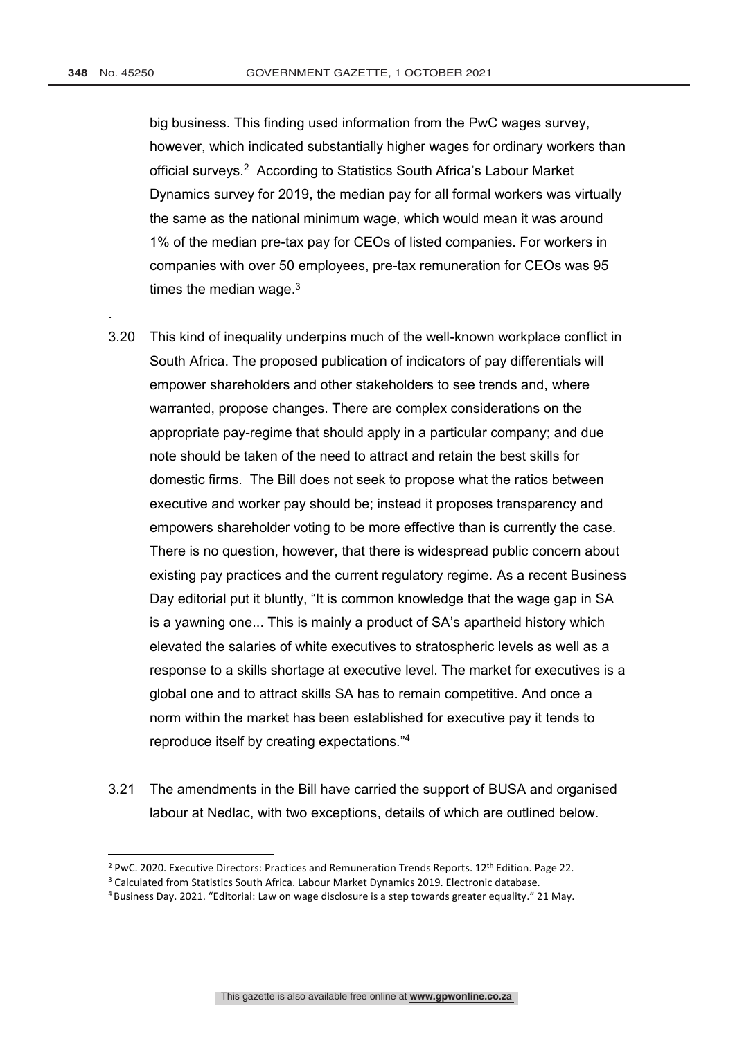.

big business. This finding used information from the PwC wages survey, however, which indicated substantially higher wages for ordinary workers than official surveys. 2 According to Statistics South Africa's Labour Market Dynamics survey for 2019, the median pay for all formal workers was virtually the same as the national minimum wage, which would mean it was around 1% of the median pre-tax pay for CEOs of listed companies. For workers in companies with over 50 employees, pre-tax remuneration for CEOs was 95 times the median wage. $^3$ 

- 3.20 This kind of inequality underpins much of the well-known workplace conflict in South Africa. The proposed publication of indicators of pay differentials will empower shareholders and other stakeholders to see trends and, where warranted, propose changes. There are complex considerations on the appropriate pay-regime that should apply in a particular company; and due note should be taken of the need to attract and retain the best skills for domestic firms. The Bill does not seek to propose what the ratios between executive and worker pay should be; instead it proposes transparency and empowers shareholder voting to be more effective than is currently the case. There is no question, however, that there is widespread public concern about existing pay practices and the current regulatory regime. As a recent Business Day editorial put it bluntly, "It is common knowledge that the wage gap in SA is a yawning one... This is mainly a product of SA's apartheid history which elevated the salaries of white executives to stratospheric levels as well as a response to a skills shortage at executive level. The market for executives is a global one and to attract skills SA has to remain competitive. And once a norm within the market has been established for executive pay it tends to reproduce itself by creating expectations." 4
- 3.21 The amendments in the Bill have carried the support of BUSA and organised labour at Nedlac, with two exceptions, details of which are outlined below.

<sup>&</sup>lt;sup>2</sup> PwC. 2020. Executive Directors: Practices and Remuneration Trends Reports. 12<sup>th</sup> Edition. Page 22.  $3$  Calculated from Statistics South Africa. Labour Market Dynamics 2019. Electronic database.

<sup>4</sup> Business Day. 2021. "Editorial: Law on wage disclosure is a step towards greater equality." 21 May.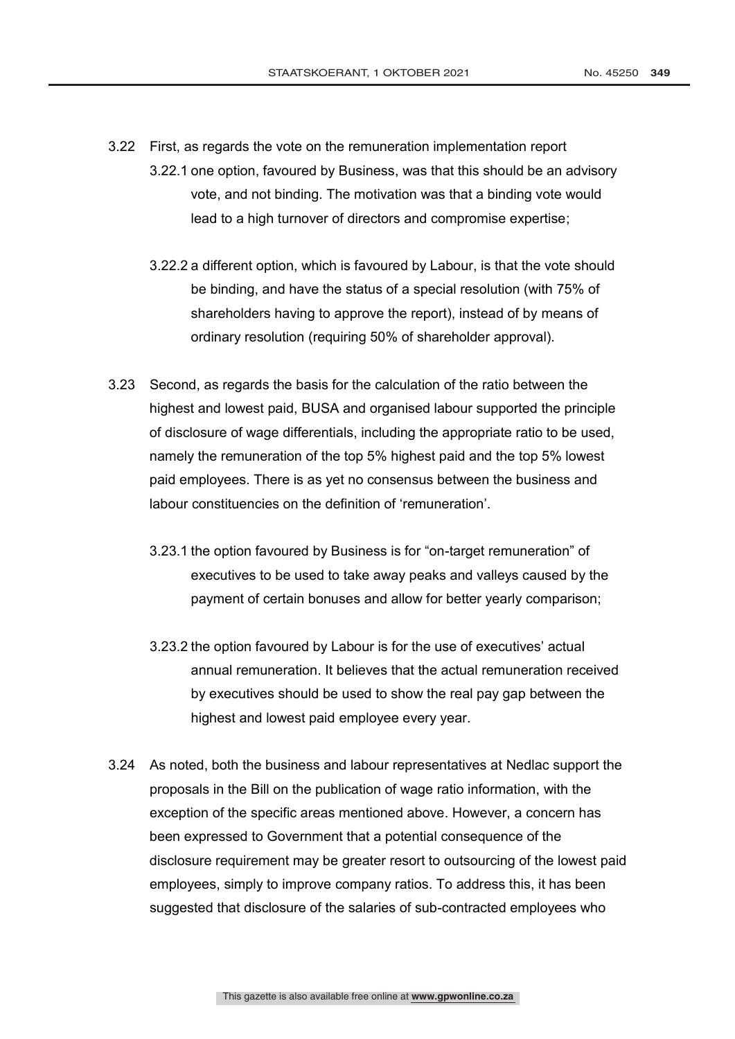- 3.22 First, as regards the vote on the remuneration implementation report
	- 3.22.1 one option, favoured by Business, was that this should be an advisory vote, and not binding. The motivation was that a binding vote would lead to a high turnover of directors and compromise expertise;
		- 3.22.2 a different option, which is favoured by Labour, is that the vote should be binding, and have the status of a special resolution (with 75% of shareholders having to approve the report), instead of by means of ordinary resolution (requiring 50% of shareholder approval).
- 3.23 Second, as regards the basis for the calculation of the ratio between the highest and lowest paid, BUSA and organised labour supported the principle of disclosure of wage differentials, including the appropriate ratio to be used, namely the remuneration of the top 5% highest paid and the top 5% lowest paid employees. There is as yet no consensus between the business and labour constituencies on the definition of 'remuneration'.
	- 3.23.1 the option favoured by Business is for "on-target remuneration" of executives to be used to take away peaks and valleys caused by the payment of certain bonuses and allow for better yearly comparison;
	- 3.23.2 the option favoured by Labour is for the use of executives' actual annual remuneration. It believes that the actual remuneration received by executives should be used to show the real pay gap between the highest and lowest paid employee every year.
- 3.24 As noted, both the business and labour representatives at Nedlac support the proposals in the Bill on the publication of wage ratio information, with the exception of the specific areas mentioned above. However, a concern has been expressed to Government that a potential consequence of the disclosure requirement may be greater resort to outsourcing of the lowest paid employees, simply to improve company ratios. To address this, it has been suggested that disclosure of the salaries of sub-contracted employees who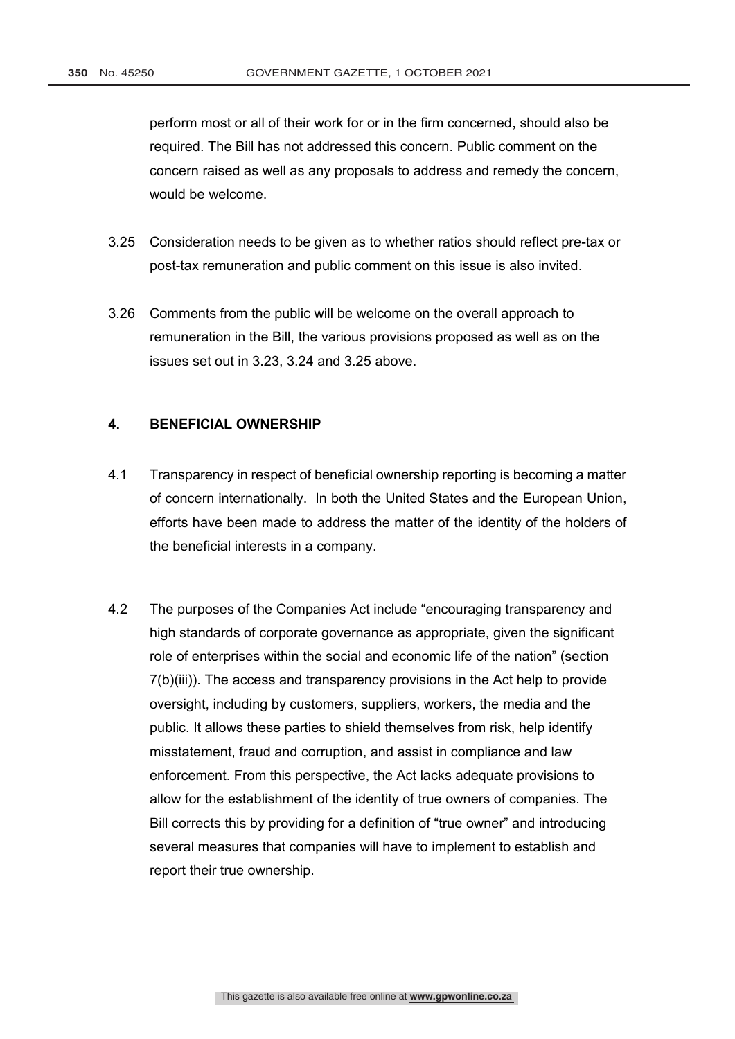perform most or all of their work for or in the firm concerned, should also be required. The Bill has not addressed this concern. Public comment on the concern raised as well as any proposals to address and remedy the concern, would be welcome.

- 3.25 Consideration needs to be given as to whether ratios should reflect pre-tax or post-tax remuneration and public comment on this issue is also invited.
- 3.26 Comments from the public will be welcome on the overall approach to remuneration in the Bill, the various provisions proposed as well as on the issues set out in 3.23, 3.24 and 3.25 above.

## **4. BENEFICIAL OWNERSHIP**

- 4.1 Transparency in respect of beneficial ownership reporting is becoming a matter of concern internationally. In both the United States and the European Union, efforts have been made to address the matter of the identity of the holders of the beneficial interests in a company.
- 4.2 The purposes of the Companies Act include "encouraging transparency and high standards of corporate governance as appropriate, given the significant role of enterprises within the social and economic life of the nation" (section 7(b)(iii)). The access and transparency provisions in the Act help to provide oversight, including by customers, suppliers, workers, the media and the public. It allows these parties to shield themselves from risk, help identify misstatement, fraud and corruption, and assist in compliance and law enforcement. From this perspective, the Act lacks adequate provisions to allow for the establishment of the identity of true owners of companies. The Bill corrects this by providing for a definition of "true owner" and introducing several measures that companies will have to implement to establish and report their true ownership.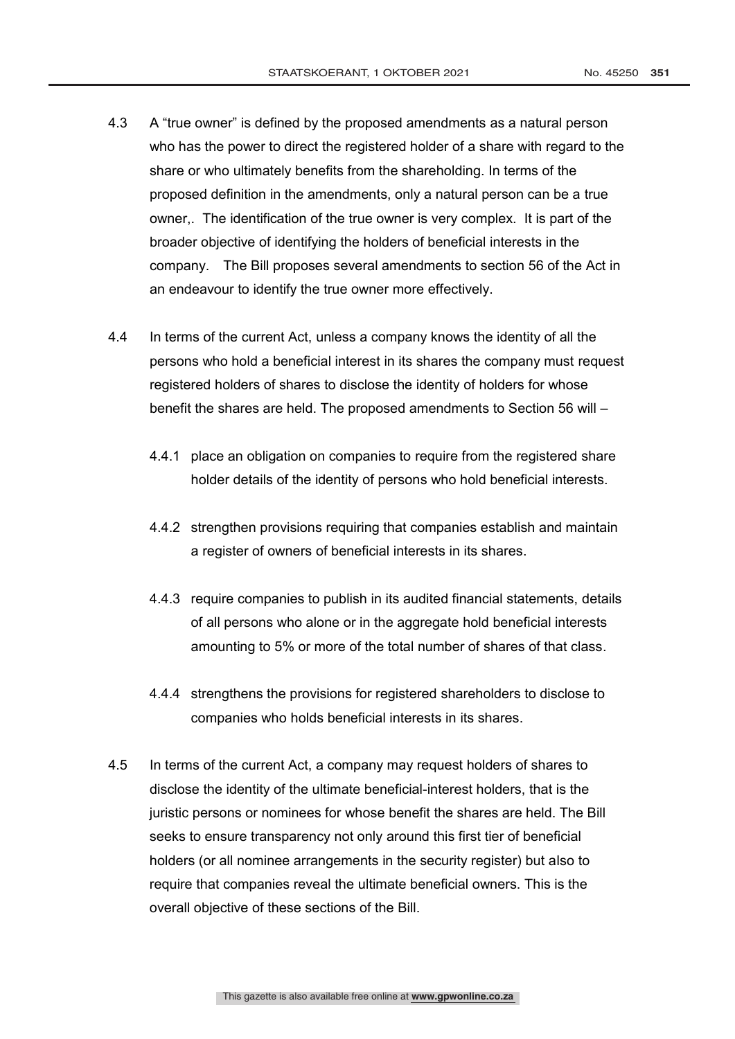- 4.3 A "true owner" is defined by the proposed amendments as a natural person who has the power to direct the registered holder of a share with regard to the share or who ultimately benefits from the shareholding. In terms of the proposed definition in the amendments, only a natural person can be a true owner,. The identification of the true owner is very complex. It is part of the broader objective of identifying the holders of beneficial interests in the company. The Bill proposes several amendments to section 56 of the Act in an endeavour to identify the true owner more effectively.
- 4.4 In terms of the current Act, unless a company knows the identity of all the persons who hold a beneficial interest in its shares the company must request registered holders of shares to disclose the identity of holders for whose benefit the shares are held. The proposed amendments to Section 56 will –
	- 4.4.1 place an obligation on companies to require from the registered share holder details of the identity of persons who hold beneficial interests.
	- 4.4.2 strengthen provisions requiring that companies establish and maintain a register of owners of beneficial interests in its shares.
	- 4.4.3 require companies to publish in its audited financial statements, details of all persons who alone or in the aggregate hold beneficial interests amounting to 5% or more of the total number of shares of that class.
	- 4.4.4 strengthens the provisions for registered shareholders to disclose to companies who holds beneficial interests in its shares.
- 4.5 In terms of the current Act, a company may request holders of shares to disclose the identity of the ultimate beneficial-interest holders, that is the juristic persons or nominees for whose benefit the shares are held. The Bill seeks to ensure transparency not only around this first tier of beneficial holders (or all nominee arrangements in the security register) but also to require that companies reveal the ultimate beneficial owners. This is the overall objective of these sections of the Bill.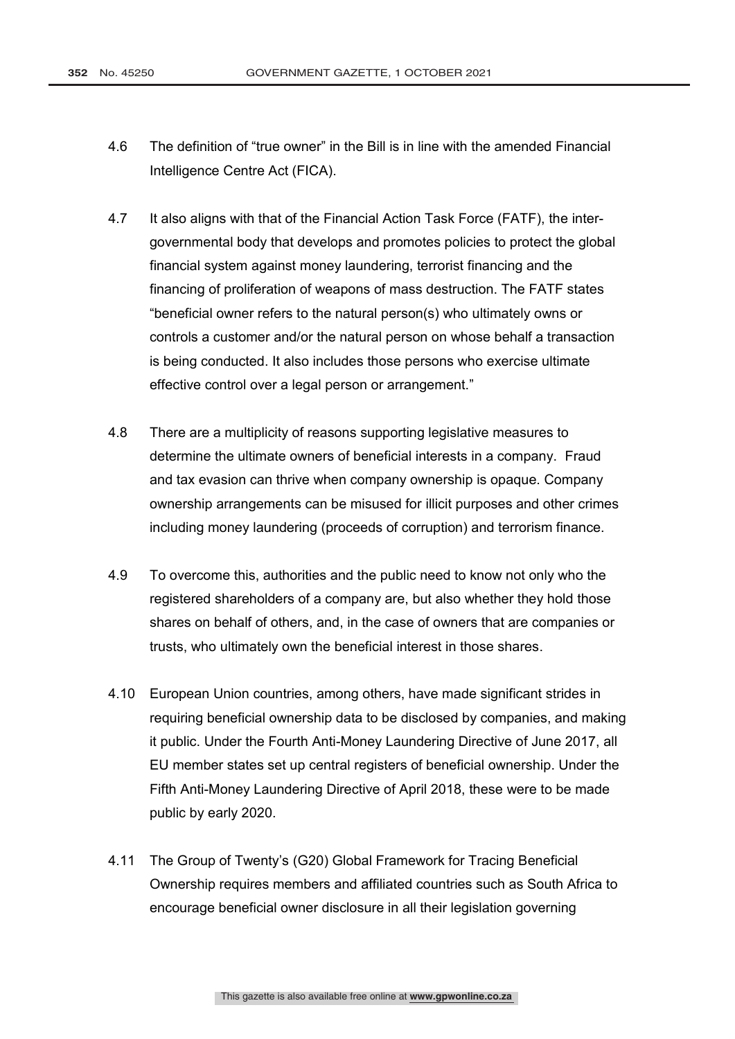- 4.6 The definition of "true owner" in the Bill is in line with the amended Financial Intelligence Centre Act (FICA).
- 4.7 It also aligns with that of the Financial Action Task Force (FATF), the intergovernmental body that develops and promotes policies to protect the global financial system against money laundering, terrorist financing and the financing of proliferation of weapons of mass destruction. The FATF states "beneficial owner refers to the natural person(s) who ultimately owns or controls a customer and/or the natural person on whose behalf a transaction is being conducted. It also includes those persons who exercise ultimate effective control over a legal person or arrangement."
- 4.8 There are a multiplicity of reasons supporting legislative measures to determine the ultimate owners of beneficial interests in a company. Fraud and tax evasion can thrive when company ownership is opaque. Company ownership arrangements can be misused for illicit purposes and other crimes including money laundering (proceeds of corruption) and terrorism finance.
- 4.9 To overcome this, authorities and the public need to know not only who the registered shareholders of a company are, but also whether they hold those shares on behalf of others, and, in the case of owners that are companies or trusts, who ultimately own the beneficial interest in those shares.
- 4.10 European Union countries, among others, have made significant strides in requiring beneficial ownership data to be disclosed by companies, and making it public. Under the Fourth Anti-Money Laundering Directive of June 2017, all EU member states set up central registers of beneficial ownership. Under the Fifth Anti-Money Laundering Directive of April 2018, these were to be made public by early 2020.
- 4.11 The Group of Twenty's (G20) Global Framework for Tracing Beneficial Ownership requires members and affiliated countries such as South Africa to encourage beneficial owner disclosure in all their legislation governing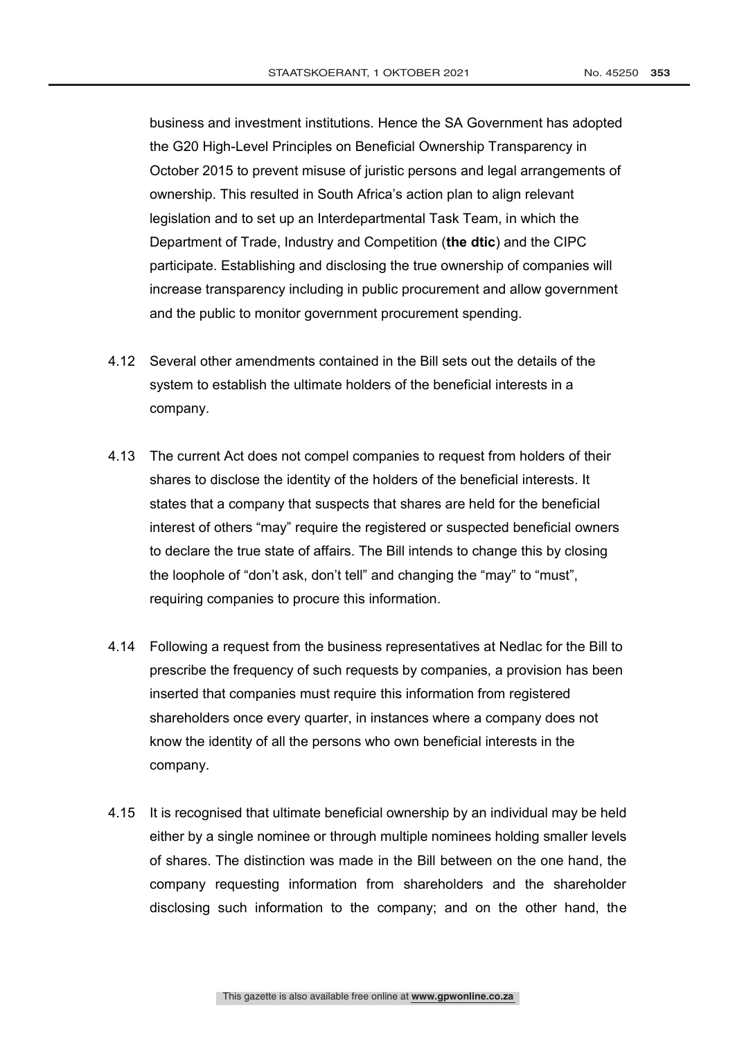business and investment institutions. Hence the SA Government has adopted the G20 High-Level Principles on Beneficial Ownership Transparency in October 2015 to prevent misuse of juristic persons and legal arrangements of ownership. This resulted in South Africa's action plan to align relevant legislation and to set up an Interdepartmental Task Team, in which the Department of Trade, Industry and Competition (**the dtic**) and the CIPC participate. Establishing and disclosing the true ownership of companies will increase transparency including in public procurement and allow government and the public to monitor government procurement spending.

- 4.12 Several other amendments contained in the Bill sets out the details of the system to establish the ultimate holders of the beneficial interests in a company.
- 4.13 The current Act does not compel companies to request from holders of their shares to disclose the identity of the holders of the beneficial interests. It states that a company that suspects that shares are held for the beneficial interest of others "may" require the registered or suspected beneficial owners to declare the true state of affairs. The Bill intends to change this by closing the loophole of "don't ask, don't tell" and changing the "may" to "must", requiring companies to procure this information.
- 4.14 Following a request from the business representatives at Nedlac for the Bill to prescribe the frequency of such requests by companies, a provision has been inserted that companies must require this information from registered shareholders once every quarter, in instances where a company does not know the identity of all the persons who own beneficial interests in the company.
- 4.15 It is recognised that ultimate beneficial ownership by an individual may be held either by a single nominee or through multiple nominees holding smaller levels of shares. The distinction was made in the Bill between on the one hand, the company requesting information from shareholders and the shareholder disclosing such information to the company; and on the other hand, the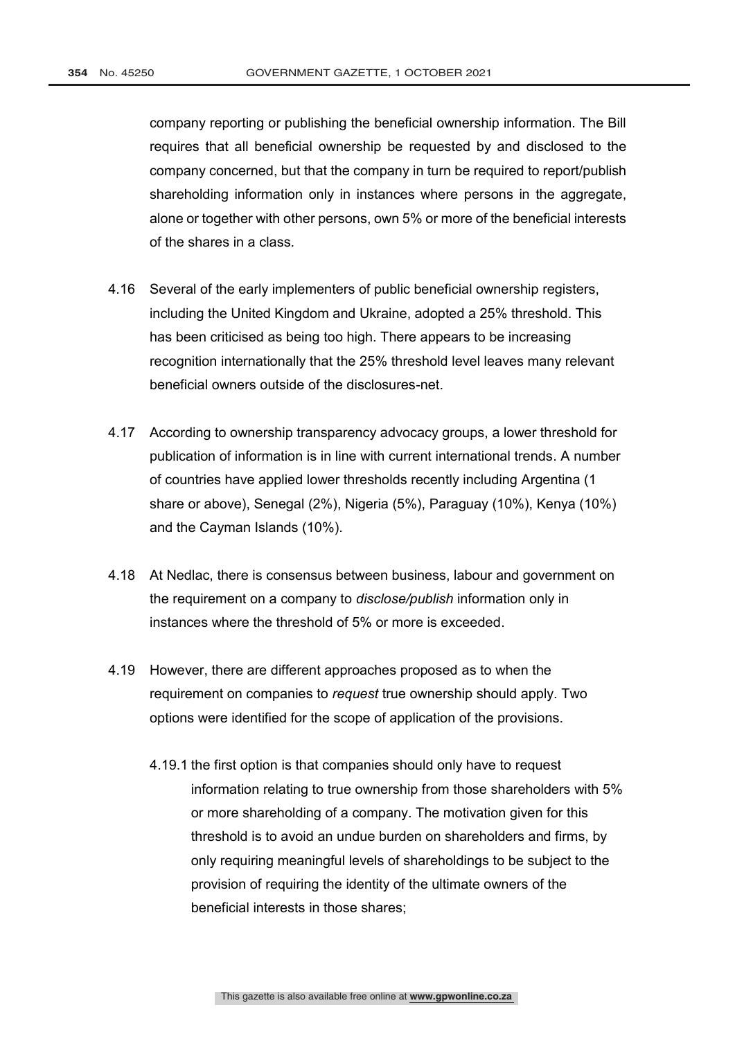company reporting or publishing the beneficial ownership information. The Bill requires that all beneficial ownership be requested by and disclosed to the company concerned, but that the company in turn be required to report/publish shareholding information only in instances where persons in the aggregate, alone or together with other persons, own 5% or more of the beneficial interests of the shares in a class.

- 4.16 Several of the early implementers of public beneficial ownership registers, including the United Kingdom and Ukraine, adopted a 25% threshold. This has been criticised as being too high. There appears to be increasing recognition internationally that the 25% threshold level leaves many relevant beneficial owners outside of the disclosures-net.
- 4.17 According to ownership transparency advocacy groups, a lower threshold for publication of information is in line with current international trends. A number of countries have applied lower thresholds recently including Argentina (1 share or above), Senegal (2%), Nigeria (5%), Paraguay (10%), Kenya (10%) and the Cayman Islands (10%).
- 4.18 At Nedlac, there is consensus between business, labour and government on the requirement on a company to *disclose/publish* information only in instances where the threshold of 5% or more is exceeded.
- 4.19 However, there are different approaches proposed as to when the requirement on companies to *request* true ownership should apply. Two options were identified for the scope of application of the provisions.
	- 4.19.1 the first option is that companies should only have to request information relating to true ownership from those shareholders with 5% or more shareholding of a company. The motivation given for this threshold is to avoid an undue burden on shareholders and firms, by only requiring meaningful levels of shareholdings to be subject to the provision of requiring the identity of the ultimate owners of the beneficial interests in those shares;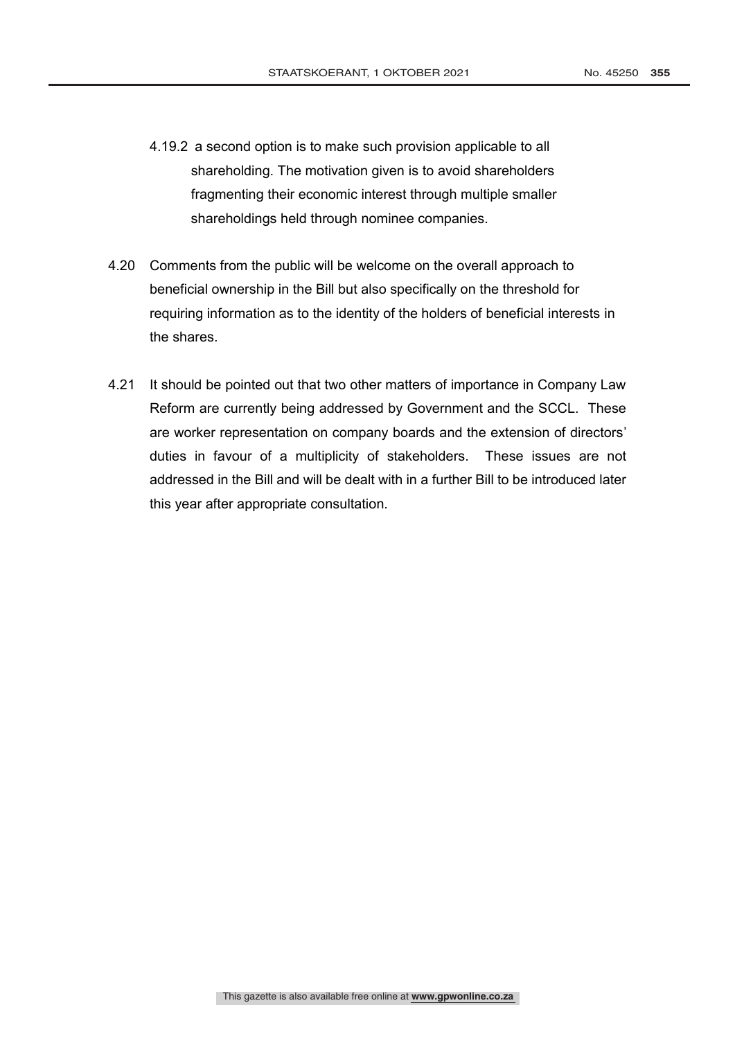- 4.19.2 a second option is to make such provision applicable to all shareholding. The motivation given is to avoid shareholders fragmenting their economic interest through multiple smaller shareholdings held through nominee companies.
- 4.20 Comments from the public will be welcome on the overall approach to beneficial ownership in the Bill but also specifically on the threshold for requiring information as to the identity of the holders of beneficial interests in the shares.
- 4.21 It should be pointed out that two other matters of importance in Company Law Reform are currently being addressed by Government and the SCCL. These are worker representation on company boards and the extension of directors' duties in favour of a multiplicity of stakeholders. These issues are not addressed in the Bill and will be dealt with in a further Bill to be introduced later this year after appropriate consultation.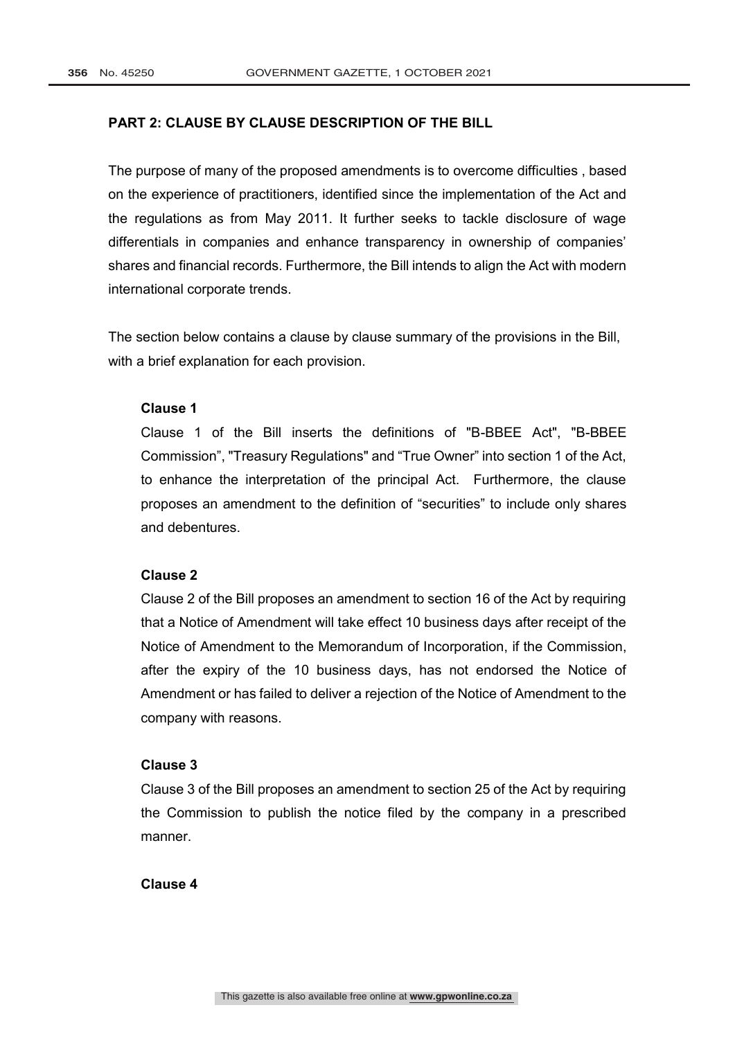### **PART 2: CLAUSE BY CLAUSE DESCRIPTION OF THE BILL**

The purpose of many of the proposed amendments is to overcome difficulties , based on the experience of practitioners, identified since the implementation of the Act and the regulations as from May 2011. It further seeks to tackle disclosure of wage differentials in companies and enhance transparency in ownership of companies' shares and financial records. Furthermore, the Bill intends to align the Act with modern international corporate trends.

The section below contains a clause by clause summary of the provisions in the Bill, with a brief explanation for each provision.

#### **Clause 1**

Clause 1 of the Bill inserts the definitions of "B-BBEE Act", "B-BBEE Commission", "Treasury Regulations" and "True Owner" into section 1 of the Act, to enhance the interpretation of the principal Act. Furthermore, the clause proposes an amendment to the definition of "securities" to include only shares and debentures.

## **Clause 2**

Clause 2 of the Bill proposes an amendment to section 16 of the Act by requiring that a Notice of Amendment will take effect 10 business days after receipt of the Notice of Amendment to the Memorandum of Incorporation, if the Commission, after the expiry of the 10 business days, has not endorsed the Notice of Amendment or has failed to deliver a rejection of the Notice of Amendment to the company with reasons.

## **Clause 3**

Clause 3 of the Bill proposes an amendment to section 25 of the Act by requiring the Commission to publish the notice filed by the company in a prescribed manner.

# **Clause 4**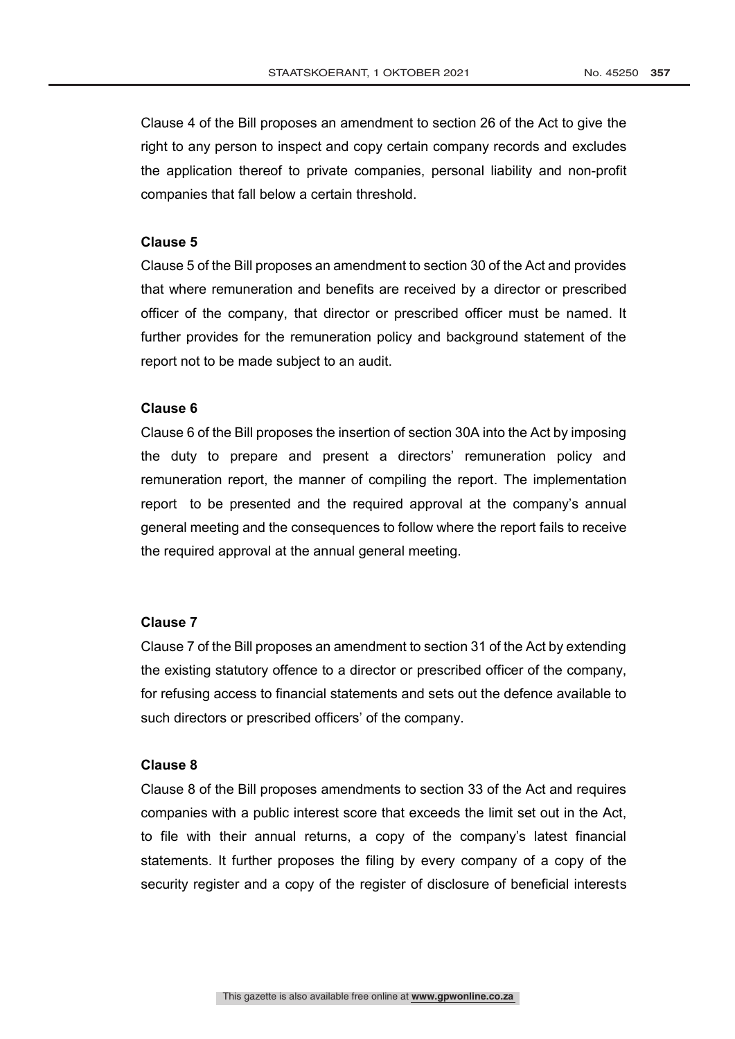Clause 4 of the Bill proposes an amendment to section 26 of the Act to give the right to any person to inspect and copy certain company records and excludes the application thereof to private companies, personal liability and non-profit companies that fall below a certain threshold.

## **Clause 5**

Clause 5 of the Bill proposes an amendment to section 30 of the Act and provides that where remuneration and benefits are received by a director or prescribed officer of the company, that director or prescribed officer must be named. It further provides for the remuneration policy and background statement of the report not to be made subject to an audit.

#### **Clause 6**

Clause 6 of the Bill proposes the insertion of section 30A into the Act by imposing the duty to prepare and present a directors' remuneration policy and remuneration report, the manner of compiling the report. The implementation report to be presented and the required approval at the company's annual general meeting and the consequences to follow where the report fails to receive the required approval at the annual general meeting.

## **Clause 7**

Clause 7 of the Bill proposes an amendment to section 31 of the Act by extending the existing statutory offence to a director or prescribed officer of the company, for refusing access to financial statements and sets out the defence available to such directors or prescribed officers' of the company.

#### **Clause 8**

Clause 8 of the Bill proposes amendments to section 33 of the Act and requires companies with a public interest score that exceeds the limit set out in the Act, to file with their annual returns, a copy of the company's latest financial statements. It further proposes the filing by every company of a copy of the security register and a copy of the register of disclosure of beneficial interests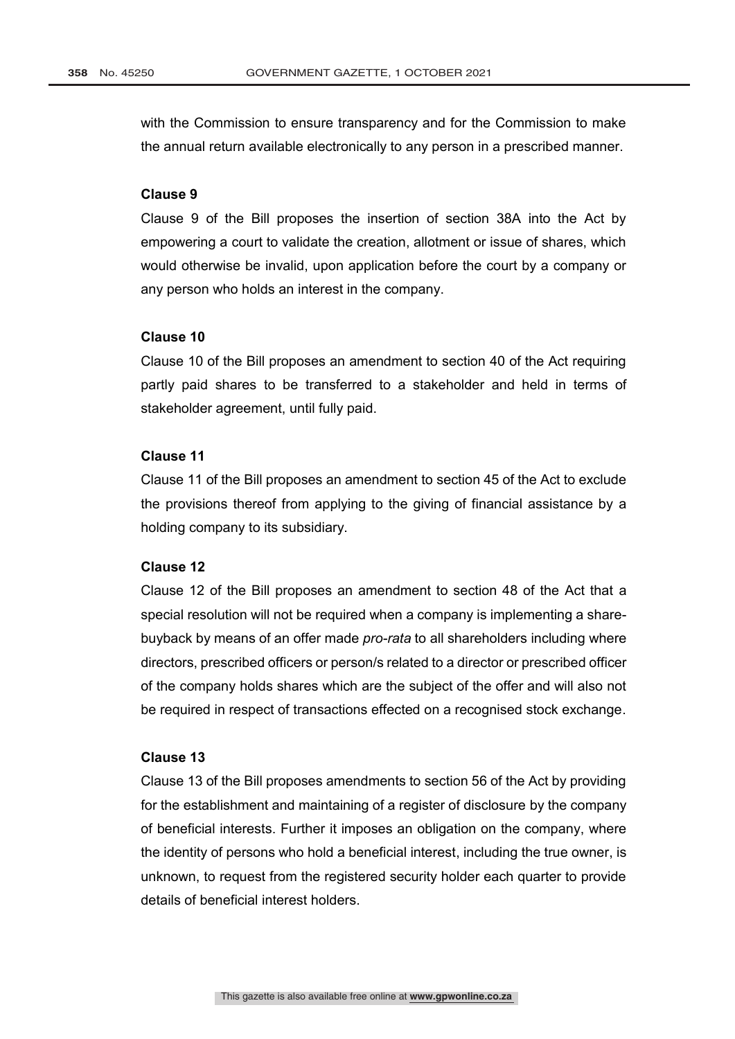with the Commission to ensure transparency and for the Commission to make the annual return available electronically to any person in a prescribed manner.

#### **Clause 9**

Clause 9 of the Bill proposes the insertion of section 38A into the Act by empowering a court to validate the creation, allotment or issue of shares, which would otherwise be invalid, upon application before the court by a company or any person who holds an interest in the company.

#### **Clause 10**

Clause 10 of the Bill proposes an amendment to section 40 of the Act requiring partly paid shares to be transferred to a stakeholder and held in terms of stakeholder agreement, until fully paid.

# **Clause 11**

Clause 11 of the Bill proposes an amendment to section 45 of the Act to exclude the provisions thereof from applying to the giving of financial assistance by a holding company to its subsidiary.

## **Clause 12**

Clause 12 of the Bill proposes an amendment to section 48 of the Act that a special resolution will not be required when a company is implementing a sharebuyback by means of an offer made *pro-rata* to all shareholders including where directors, prescribed officers or person/s related to a director or prescribed officer of the company holds shares which are the subject of the offer and will also not be required in respect of transactions effected on a recognised stock exchange.

## **Clause 13**

Clause 13 of the Bill proposes amendments to section 56 of the Act by providing for the establishment and maintaining of a register of disclosure by the company of beneficial interests. Further it imposes an obligation on the company, where the identity of persons who hold a beneficial interest, including the true owner, is unknown, to request from the registered security holder each quarter to provide details of beneficial interest holders.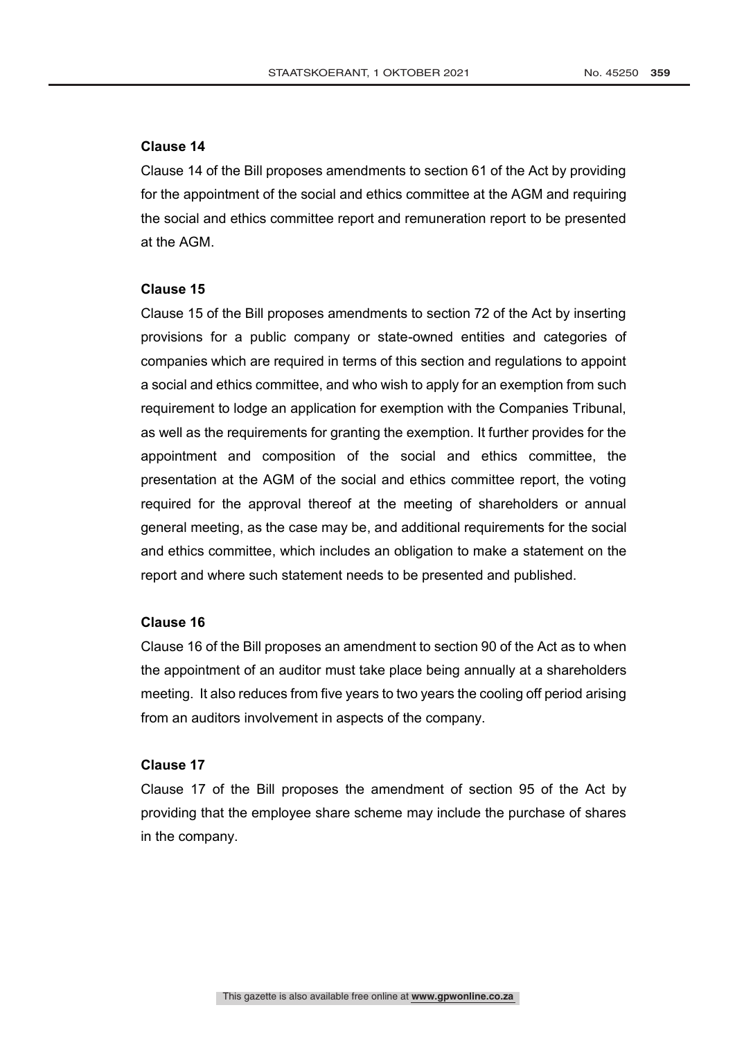# **Clause 14**

Clause 14 of the Bill proposes amendments to section 61 of the Act by providing for the appointment of the social and ethics committee at the AGM and requiring the social and ethics committee report and remuneration report to be presented at the AGM.

#### **Clause 15**

Clause 15 of the Bill proposes amendments to section 72 of the Act by inserting provisions for a public company or state-owned entities and categories of companies which are required in terms of this section and regulations to appoint a social and ethics committee, and who wish to apply for an exemption from such requirement to lodge an application for exemption with the Companies Tribunal, as well as the requirements for granting the exemption. It further provides for the appointment and composition of the social and ethics committee, the presentation at the AGM of the social and ethics committee report, the voting required for the approval thereof at the meeting of shareholders or annual general meeting, as the case may be, and additional requirements for the social and ethics committee, which includes an obligation to make a statement on the report and where such statement needs to be presented and published.

#### **Clause 16**

Clause 16 of the Bill proposes an amendment to section 90 of the Act as to when the appointment of an auditor must take place being annually at a shareholders meeting. It also reduces from five years to two years the cooling off period arising from an auditors involvement in aspects of the company.

## **Clause 17**

Clause 17 of the Bill proposes the amendment of section 95 of the Act by providing that the employee share scheme may include the purchase of shares in the company.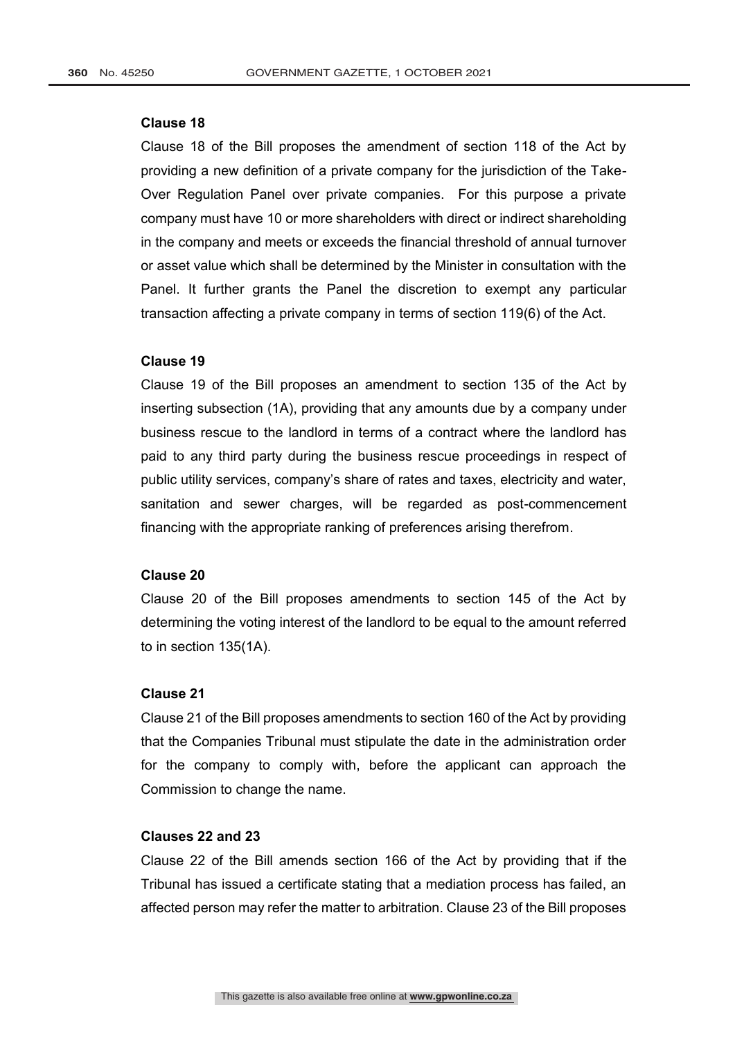### **Clause 18**

Clause 18 of the Bill proposes the amendment of section 118 of the Act by providing a new definition of a private company for the jurisdiction of the Take-Over Regulation Panel over private companies. For this purpose a private company must have 10 or more shareholders with direct or indirect shareholding in the company and meets or exceeds the financial threshold of annual turnover or asset value which shall be determined by the Minister in consultation with the Panel. It further grants the Panel the discretion to exempt any particular transaction affecting a private company in terms of section 119(6) of the Act.

#### **Clause 19**

Clause 19 of the Bill proposes an amendment to section 135 of the Act by inserting subsection (1A), providing that any amounts due by a company under business rescue to the landlord in terms of a contract where the landlord has paid to any third party during the business rescue proceedings in respect of public utility services, company's share of rates and taxes, electricity and water, sanitation and sewer charges, will be regarded as post-commencement financing with the appropriate ranking of preferences arising therefrom.

#### **Clause 20**

Clause 20 of the Bill proposes amendments to section 145 of the Act by determining the voting interest of the landlord to be equal to the amount referred to in section 135(1A).

#### **Clause 21**

Clause 21 of the Bill proposes amendments to section 160 of the Act by providing that the Companies Tribunal must stipulate the date in the administration order for the company to comply with, before the applicant can approach the Commission to change the name.

# **Clauses 22 and 23**

Clause 22 of the Bill amends section 166 of the Act by providing that if the Tribunal has issued a certificate stating that a mediation process has failed, an affected person may refer the matter to arbitration. Clause 23 of the Bill proposes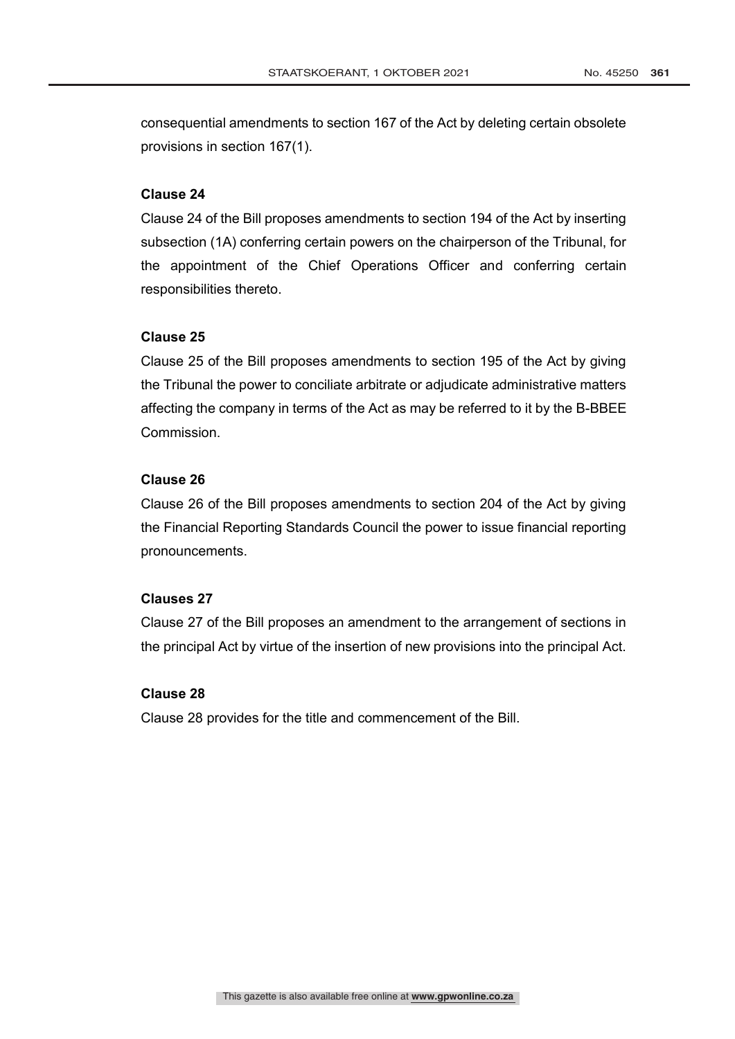consequential amendments to section 167 of the Act by deleting certain obsolete provisions in section 167(1).

## **Clause 24**

Clause 24 of the Bill proposes amendments to section 194 of the Act by inserting subsection (1A) conferring certain powers on the chairperson of the Tribunal, for the appointment of the Chief Operations Officer and conferring certain responsibilities thereto.

## **Clause 25**

Clause 25 of the Bill proposes amendments to section 195 of the Act by giving the Tribunal the power to conciliate arbitrate or adjudicate administrative matters affecting the company in terms of the Act as may be referred to it by the B-BBEE Commission.

# **Clause 26**

Clause 26 of the Bill proposes amendments to section 204 of the Act by giving the Financial Reporting Standards Council the power to issue financial reporting pronouncements.

#### **Clauses 27**

Clause 27 of the Bill proposes an amendment to the arrangement of sections in the principal Act by virtue of the insertion of new provisions into the principal Act.

## **Clause 28**

Clause 28 provides for the title and commencement of the Bill.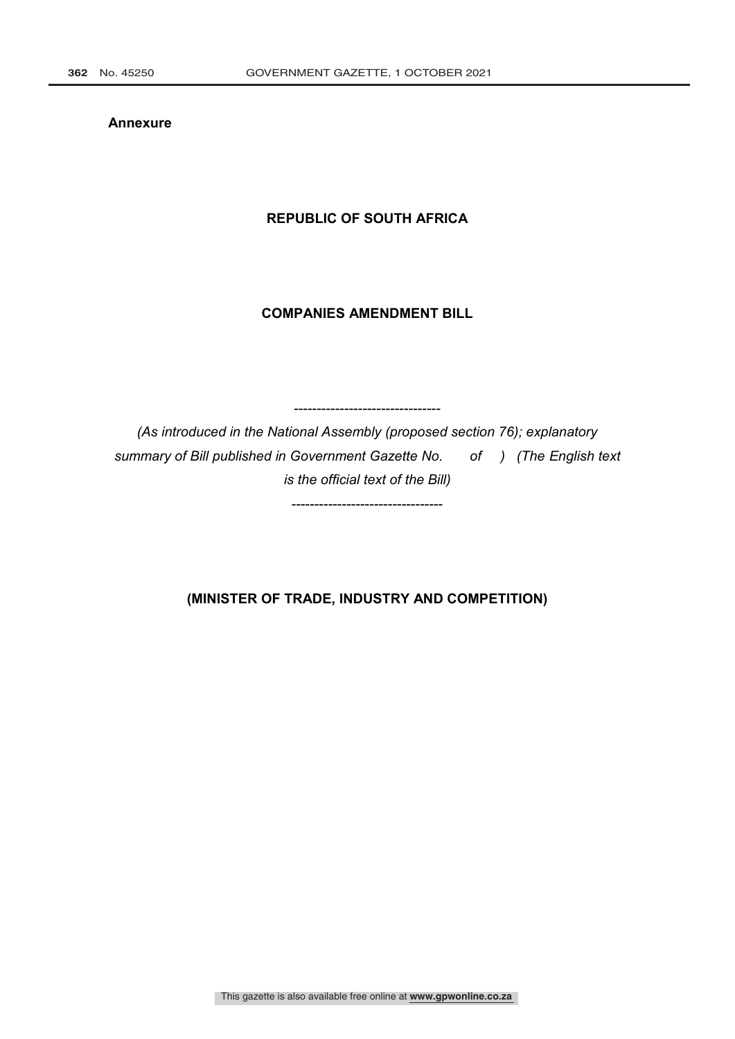**Annexure**

# **REPUBLIC OF SOUTH AFRICA**

# **COMPANIES AMENDMENT BILL**

*(As introduced in the National Assembly (proposed section 76); explanatory summary of Bill published in Government Gazette No. of ) (The English text is the official text of the Bill)*

---------------------------------

--------------------------------

**(MINISTER OF TRADE, INDUSTRY AND COMPETITION)**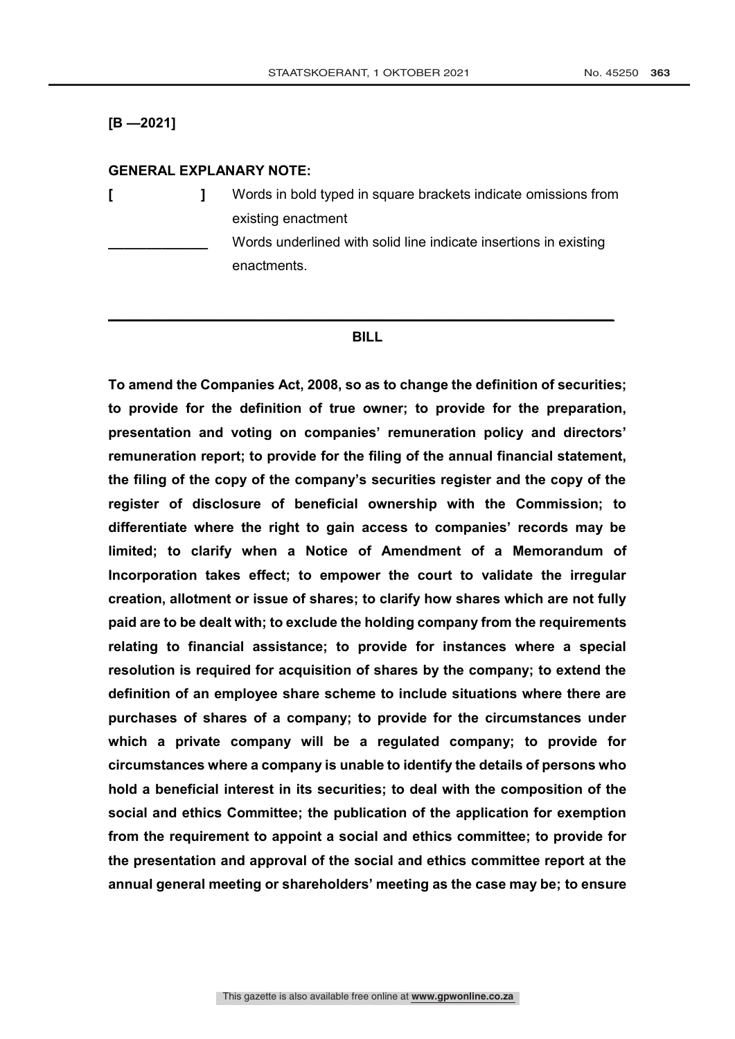**[B —2021]**

## **GENERAL EXPLANARY NOTE:**

**[ ]** Words in bold typed in square brackets indicate omissions from existing enactment **\_\_\_\_\_\_\_\_\_\_\_\_\_** Words underlined with solid line indicate insertions in existing enactments.

#### **BILL**

**\_\_\_\_\_\_\_\_\_\_\_\_\_\_\_\_\_\_\_\_\_\_\_\_\_\_\_\_\_\_\_\_\_\_\_\_\_\_\_\_\_\_\_\_\_\_\_\_\_\_\_\_\_\_\_\_\_\_\_\_\_\_\_\_\_\_**

**To amend the Companies Act, 2008, so as to change the definition of securities; to provide for the definition of true owner; to provide for the preparation, presentation and voting on companies' remuneration policy and directors' remuneration report; to provide for the filing of the annual financial statement, the filing of the copy of the company's securities register and the copy of the register of disclosure of beneficial ownership with the Commission; to differentiate where the right to gain access to companies' records may be limited; to clarify when a Notice of Amendment of a Memorandum of Incorporation takes effect; to empower the court to validate the irregular creation, allotment or issue of shares; to clarify how shares which are not fully paid are to be dealt with; to exclude the holding company from the requirements relating to financial assistance; to provide for instances where a special resolution is required for acquisition of shares by the company; to extend the definition of an employee share scheme to include situations where there are purchases of shares of a company; to provide for the circumstances under which a private company will be a regulated company; to provide for circumstances where a company is unable to identify the details of persons who hold a beneficial interest in its securities; to deal with the composition of the social and ethics Committee; the publication of the application for exemption from the requirement to appoint a social and ethics committee; to provide for the presentation and approval of the social and ethics committee report at the annual general meeting or shareholders' meeting as the case may be; to ensure**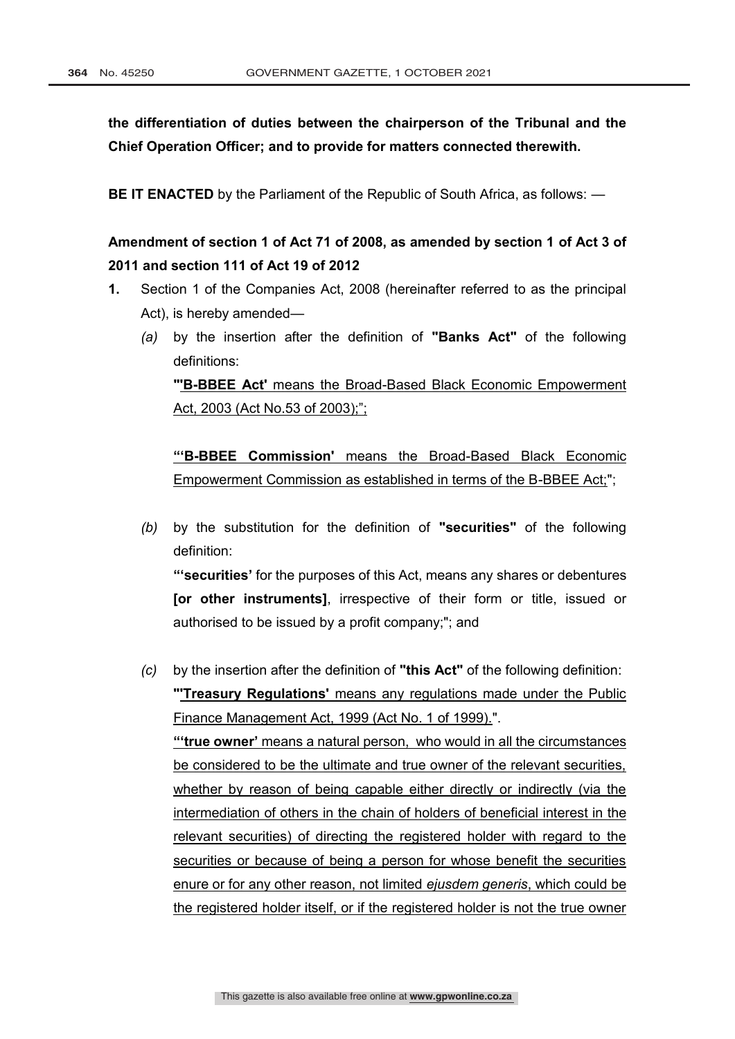**the differentiation of duties between the chairperson of the Tribunal and the Chief Operation Officer; and to provide for matters connected therewith.**

**BE IT ENACTED** by the Parliament of the Republic of South Africa, as follows: —

# **Amendment of section 1 of Act 71 of 2008, as amended by section 1 of Act 3 of 2011 and section 111 of Act 19 of 2012**

- **1.** Section 1 of the Companies Act, 2008 (hereinafter referred to as the principal Act), is hereby amended—
	- *(a)* by the insertion after the definition of **"Banks Act"** of the following definitions:

**"'B-BBEE Act'** means the Broad-Based Black Economic Empowerment Act, 2003 (Act No.53 of 2003);";

**"'B-BBEE Commission'** means the Broad-Based Black Economic Empowerment Commission as established in terms of the B-BBEE Act;";

*(b)* by the substitution for the definition of **"securities"** of the following definition: **"'securities'** for the purposes of this Act, means any shares or debentures

**[or other instruments]**, irrespective of their form or title, issued or authorised to be issued by a profit company;"; and

*(c)* by the insertion after the definition of **"this Act"** of the following definition: **"'Treasury Regulations'** means any regulations made under the Public Finance Management Act, 1999 (Act No. 1 of 1999).". **"'true owner'** means a natural person, who would in all the circumstances be considered to be the ultimate and true owner of the relevant securities, whether by reason of being capable either directly or indirectly (via the intermediation of others in the chain of holders of beneficial interest in the relevant securities) of directing the registered holder with regard to the securities or because of being a person for whose benefit the securities enure or for any other reason, not limited *ejusdem generis*, which could be the registered holder itself, or if the registered holder is not the true owner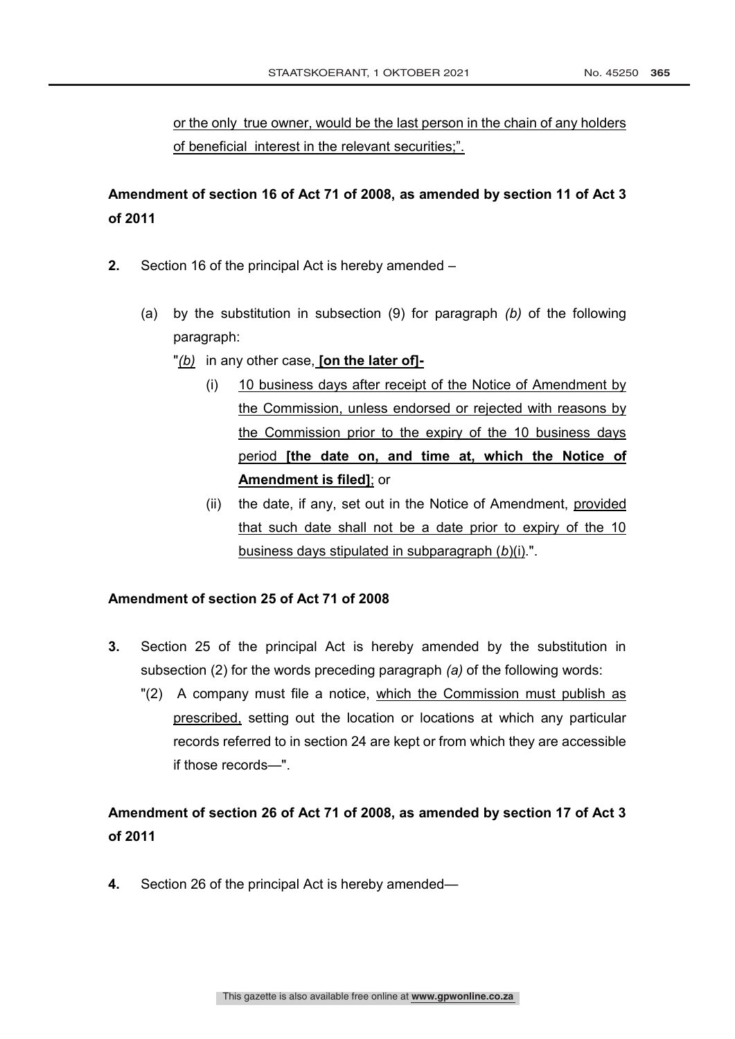or the only true owner, would be the last person in the chain of any holders of beneficial interest in the relevant securities;".

# **Amendment of section 16 of Act 71 of 2008, as amended by section 11 of Act 3 of 2011**

- **2.** Section 16 of the principal Act is hereby amended
	- (a) by the substitution in subsection (9) for paragraph *(b)* of the following paragraph:
		- "*(b)* in any other case, **[on the later of]-**
			- (i) 10 business days after receipt of the Notice of Amendment by the Commission, unless endorsed or rejected with reasons by the Commission prior to the expiry of the 10 business days period **[the date on, and time at, which the Notice of Amendment is filed]**; or
			- (ii) the date, if any, set out in the Notice of Amendment, provided that such date shall not be a date prior to expiry of the 10 business days stipulated in subparagraph (*b*)(i).".

## **Amendment of section 25 of Act 71 of 2008**

- **3.** Section 25 of the principal Act is hereby amended by the substitution in subsection (2) for the words preceding paragraph *(a)* of the following words:
	- "(2) A company must file a notice, which the Commission must publish as prescribed, setting out the location or locations at which any particular records referred to in section 24 are kept or from which they are accessible if those records—".

# **Amendment of section 26 of Act 71 of 2008, as amended by section 17 of Act 3 of 2011**

**4.** Section 26 of the principal Act is hereby amended—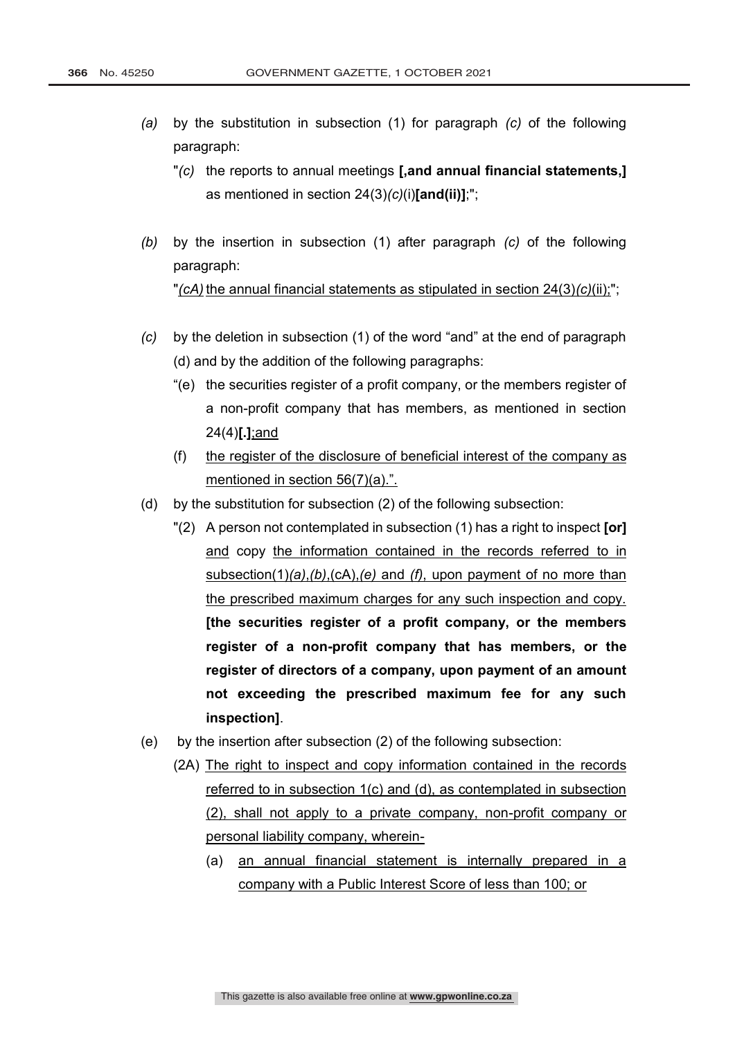- *(a)* by the substitution in subsection (1) for paragraph *(c)* of the following paragraph:
	- "*(c)* the reports to annual meetings **[,and annual financial statements,]** as mentioned in section 24(3)*(c)*(i)**[and(ii)]**;";
- *(b)* by the insertion in subsection (1) after paragraph *(c)* of the following paragraph: "*(cA)* the annual financial statements as stipulated in section 24(3)*(c)*(ii);";
- *(c)* by the deletion in subsection (1) of the word "and" at the end of paragraph (d) and by the addition of the following paragraphs:
	- "(e) the securities register of a profit company, or the members register of a non-profit company that has members, as mentioned in section 24(4)**[.]**;and
	- (f) the register of the disclosure of beneficial interest of the company as mentioned in section 56(7)(a).".
- (d) by the substitution for subsection (2) of the following subsection:
	- "(2) A person not contemplated in subsection (1) has a right to inspect **[or]**  and copy the information contained in the records referred to in subsection(1)*(a)*,*(b)*,(cA),*(e)* and *(f)*, upon payment of no more than the prescribed maximum charges for any such inspection and copy. **[the securities register of a profit company, or the members register of a non-profit company that has members, or the register of directors of a company, upon payment of an amount not exceeding the prescribed maximum fee for any such inspection]**.
- (e) by the insertion after subsection (2) of the following subsection:
	- (2A) The right to inspect and copy information contained in the records referred to in subsection 1(c) and (d), as contemplated in subsection (2), shall not apply to a private company, non-profit company or personal liability company, wherein-
		- (a) an annual financial statement is internally prepared in a company with a Public Interest Score of less than 100; or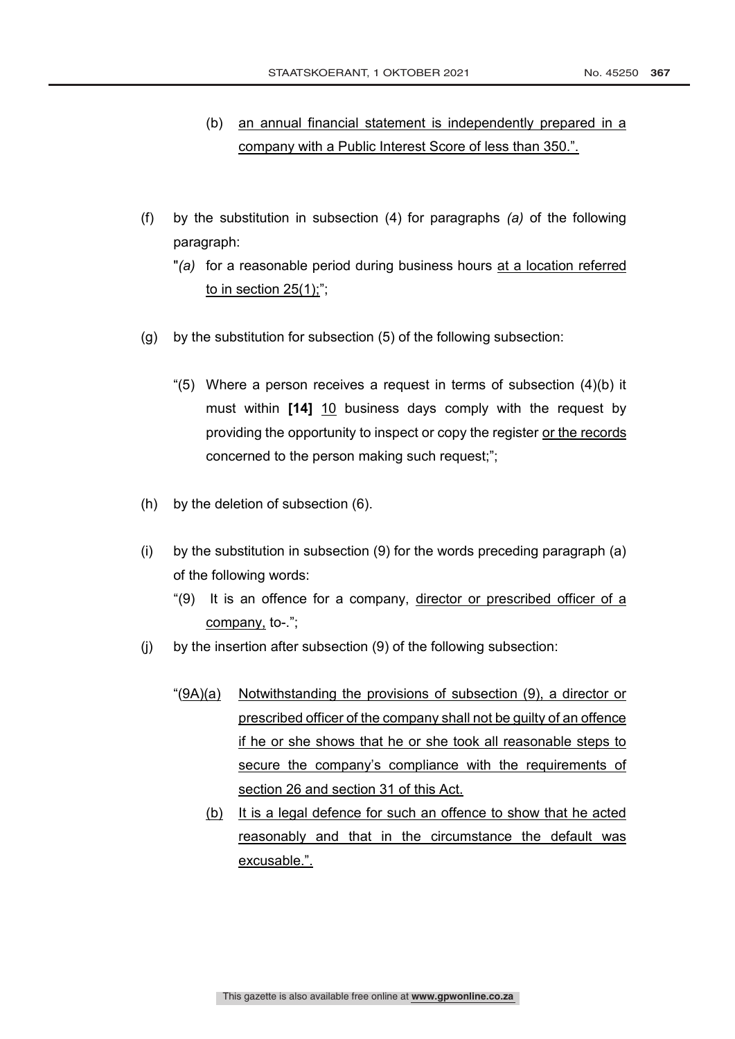- (b) an annual financial statement is independently prepared in a company with a Public Interest Score of less than 350.".
- (f) by the substitution in subsection (4) for paragraphs *(a)* of the following paragraph:
	- "*(a)* for a reasonable period during business hours at a location referred to in section 25(1);";
- (g) by the substitution for subsection (5) of the following subsection:
	- "(5) Where a person receives a request in terms of subsection (4)(b) it must within **[14]** 10 business days comply with the request by providing the opportunity to inspect or copy the register or the records concerned to the person making such request;";
- (h) by the deletion of subsection (6).
- (i) by the substitution in subsection (9) for the words preceding paragraph (a) of the following words:
	- "(9) It is an offence for a company, director or prescribed officer of a company, to-.";
- (j) by the insertion after subsection (9) of the following subsection:
	- "(9A)(a) Notwithstanding the provisions of subsection (9), a director or prescribed officer of the company shall not be guilty of an offence if he or she shows that he or she took all reasonable steps to secure the company's compliance with the requirements of section 26 and section 31 of this Act.
		- (b) It is a legal defence for such an offence to show that he acted reasonably and that in the circumstance the default was excusable.".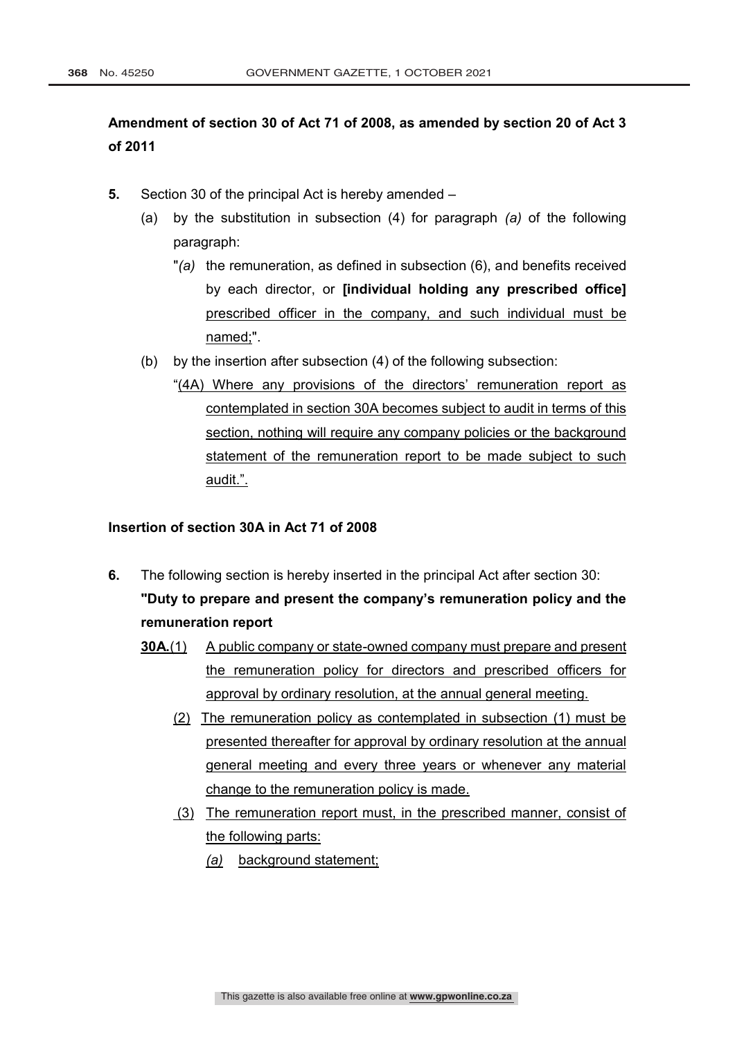# **Amendment of section 30 of Act 71 of 2008, as amended by section 20 of Act 3 of 2011**

- **5.** Section 30 of the principal Act is hereby amended
	- (a) by the substitution in subsection (4) for paragraph *(a)* of the following paragraph:
		- "*(a)* the remuneration, as defined in subsection (6), and benefits received by each director, or **[individual holding any prescribed office]** prescribed officer in the company, and such individual must be named;".
	- (b) by the insertion after subsection (4) of the following subsection:
		- "(4A) Where any provisions of the directors' remuneration report as contemplated in section 30A becomes subject to audit in terms of this section, nothing will require any company policies or the background statement of the remuneration report to be made subject to such audit.".

## **Insertion of section 30A in Act 71 of 2008**

- **6.** The following section is hereby inserted in the principal Act after section 30: **"Duty to prepare and present the company's remuneration policy and the remuneration report** 
	- **30A.**(1) A public company or state-owned company must prepare and present the remuneration policy for directors and prescribed officers for approval by ordinary resolution, at the annual general meeting.
		- (2) The remuneration policy as contemplated in subsection (1) must be presented thereafter for approval by ordinary resolution at the annual general meeting and every three years or whenever any material change to the remuneration policy is made.
		- (3) The remuneration report must, in the prescribed manner, consist of the following parts:
			- *(a)* background statement;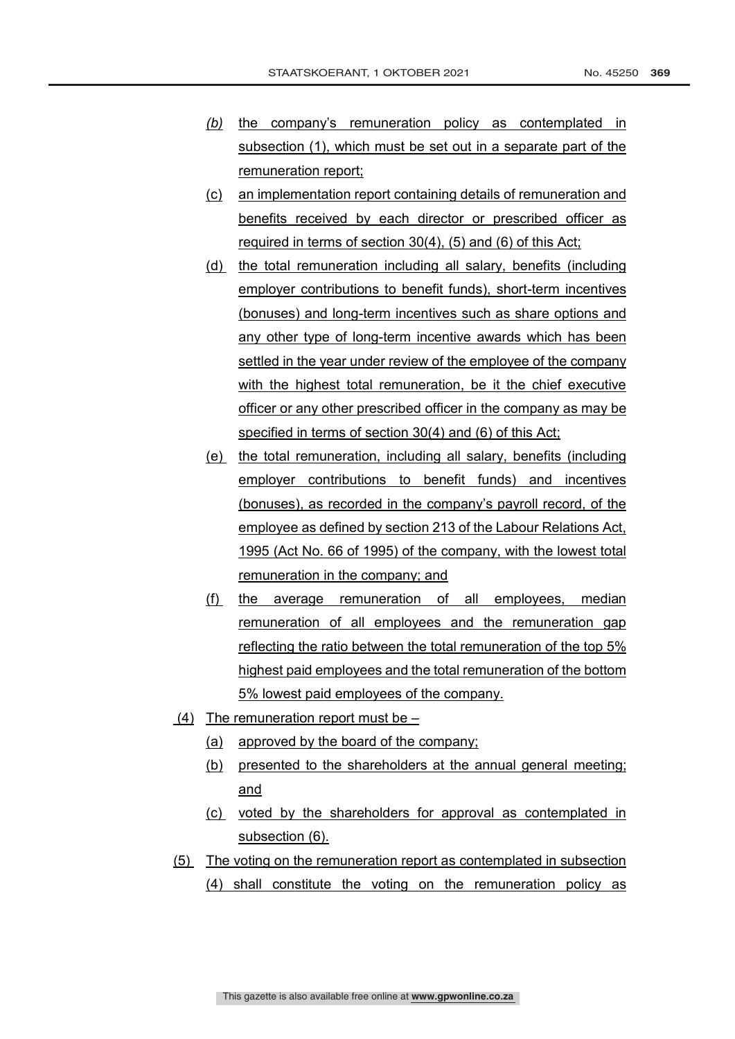- *(b)* the company's remuneration policy as contemplated in subsection (1), which must be set out in a separate part of the remuneration report;
- (c) an implementation report containing details of remuneration and benefits received by each director or prescribed officer as required in terms of section 30(4), (5) and (6) of this Act;
- (d) the total remuneration including all salary, benefits (including employer contributions to benefit funds), short-term incentives (bonuses) and long-term incentives such as share options and any other type of long-term incentive awards which has been settled in the year under review of the employee of the company with the highest total remuneration, be it the chief executive officer or any other prescribed officer in the company as may be specified in terms of section 30(4) and (6) of this Act;
- (e) the total remuneration, including all salary, benefits (including employer contributions to benefit funds) and incentives (bonuses), as recorded in the company's payroll record, of the employee as defined by section 213 of the Labour Relations Act, 1995 (Act No. 66 of 1995) of the company, with the lowest total remuneration in the company; and
- (f) the average remuneration of all employees, median remuneration of all employees and the remuneration gap reflecting the ratio between the total remuneration of the top 5% highest paid employees and the total remuneration of the bottom 5% lowest paid employees of the company.
- (4) The remuneration report must be  $-$ 
	- (a) approved by the board of the company;
	- (b) presented to the shareholders at the annual general meeting; and
	- (c) voted by the shareholders for approval as contemplated in subsection (6).
- (5) The voting on the remuneration report as contemplated in subsection (4) shall constitute the voting on the remuneration policy as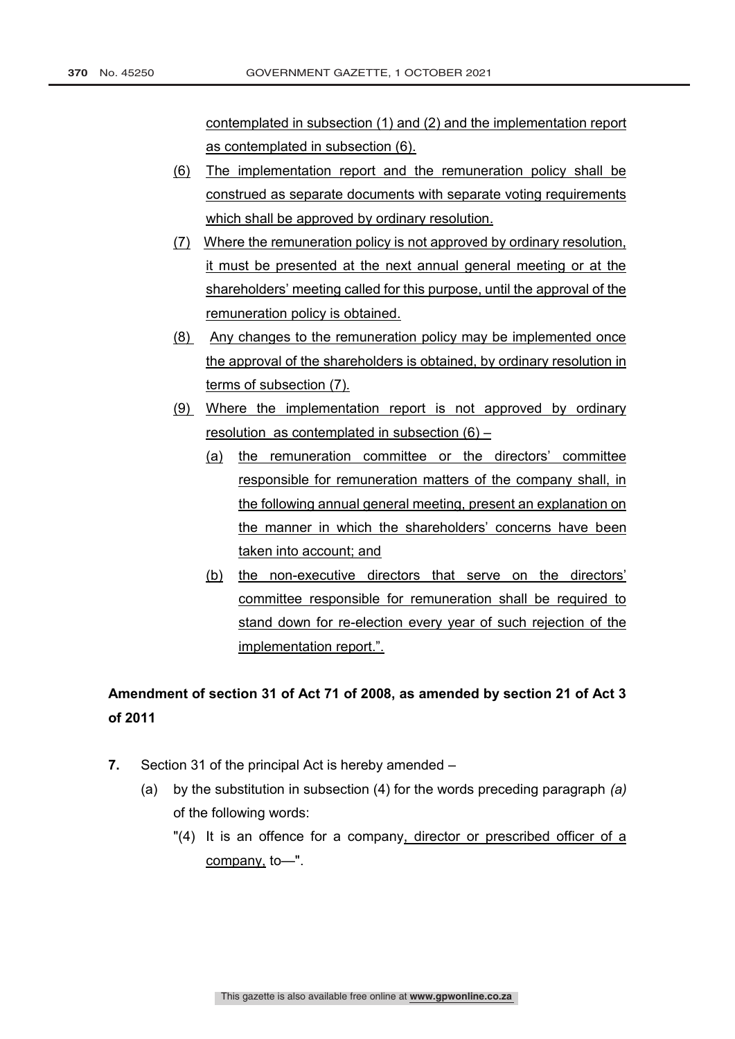contemplated in subsection (1) and (2) and the implementation report as contemplated in subsection (6).

- (6) The implementation report and the remuneration policy shall be construed as separate documents with separate voting requirements which shall be approved by ordinary resolution.
- (7) Where the remuneration policy is not approved by ordinary resolution, it must be presented at the next annual general meeting or at the shareholders' meeting called for this purpose, until the approval of the remuneration policy is obtained.
- (8) Any changes to the remuneration policy may be implemented once the approval of the shareholders is obtained, by ordinary resolution in terms of subsection (7).
- (9) Where the implementation report is not approved by ordinary resolution as contemplated in subsection (6) –
	- (a) the remuneration committee or the directors' committee responsible for remuneration matters of the company shall, in the following annual general meeting, present an explanation on the manner in which the shareholders' concerns have been taken into account; and
	- (b) the non-executive directors that serve on the directors' committee responsible for remuneration shall be required to stand down for re-election every year of such rejection of the implementation report.".

# **Amendment of section 31 of Act 71 of 2008, as amended by section 21 of Act 3 of 2011**

- **7.** Section 31 of the principal Act is hereby amended
	- (a) by the substitution in subsection (4) for the words preceding paragraph *(a)* of the following words:
		- "(4) It is an offence for a company, director or prescribed officer of a company, to—".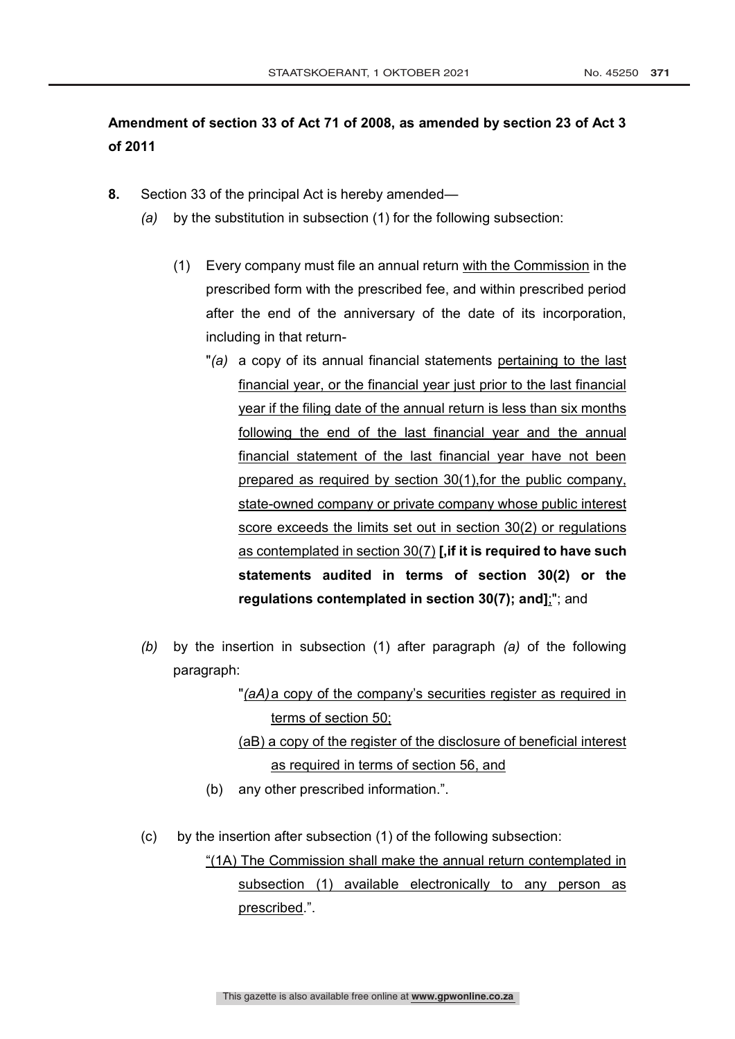# **Amendment of section 33 of Act 71 of 2008, as amended by section 23 of Act 3 of 2011**

- **8.** Section 33 of the principal Act is hereby amended—
	- *(a)* by the substitution in subsection (1) for the following subsection:
		- (1) Every company must file an annual return with the Commission in the prescribed form with the prescribed fee, and within prescribed period after the end of the anniversary of the date of its incorporation, including in that return-
			- "*(a)* a copy of its annual financial statements pertaining to the last financial year, or the financial year just prior to the last financial year if the filing date of the annual return is less than six months following the end of the last financial year and the annual financial statement of the last financial year have not been prepared as required by section 30(1),for the public company, state-owned company or private company whose public interest score exceeds the limits set out in section 30(2) or regulations as contemplated in section 30(7) **[,if it is required to have such statements audited in terms of section 30(2) or the regulations contemplated in section 30(7); and]**;"; and
	- *(b)* by the insertion in subsection (1) after paragraph *(a)* of the following paragraph:

"*(aA)*a copy of the company's securities register as required in terms of section 50;

(aB) a copy of the register of the disclosure of beneficial interest as required in terms of section 56, and

- (b) any other prescribed information.".
- (c) by the insertion after subsection (1) of the following subsection:

"(1A) The Commission shall make the annual return contemplated in subsection (1) available electronically to any person as prescribed.".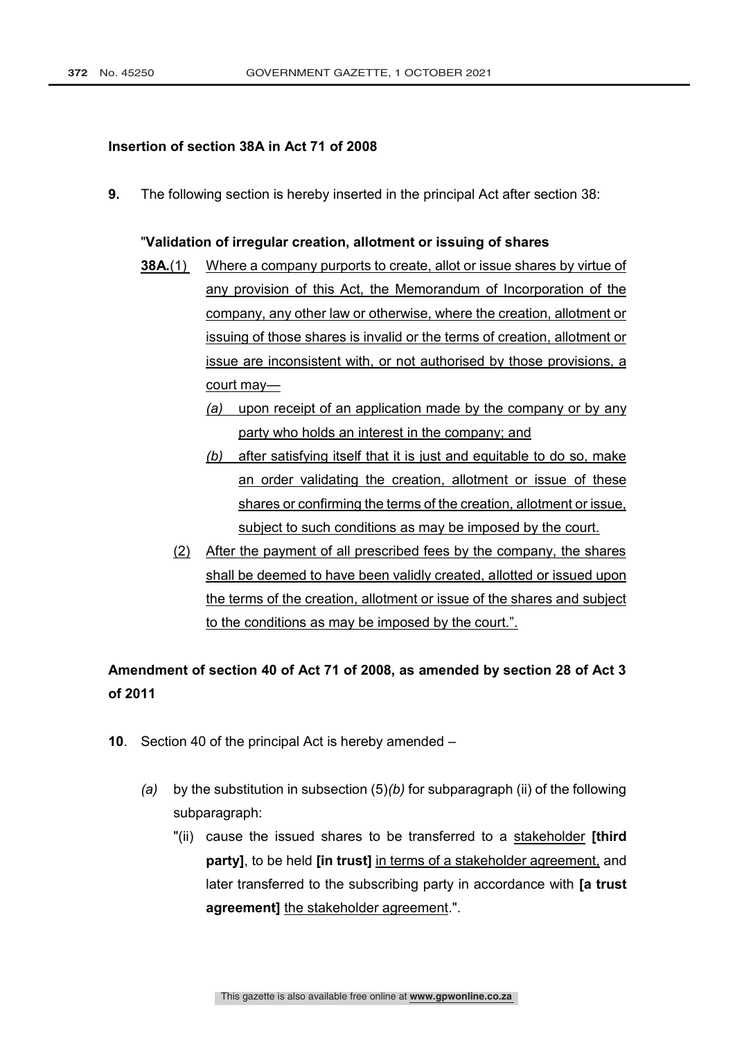## **Insertion of section 38A in Act 71 of 2008**

**9.** The following section is hereby inserted in the principal Act after section 38:

#### "**Validation of irregular creation, allotment or issuing of shares**

- **38A.**(1) Where a company purports to create, allot or issue shares by virtue of any provision of this Act, the Memorandum of Incorporation of the company, any other law or otherwise, where the creation, allotment or issuing of those shares is invalid or the terms of creation, allotment or issue are inconsistent with, or not authorised by those provisions, a court may—
	- *(a)* upon receipt of an application made by the company or by any party who holds an interest in the company; and
	- *(b)* after satisfying itself that it is just and equitable to do so, make an order validating the creation, allotment or issue of these shares or confirming the terms of the creation, allotment or issue, subject to such conditions as may be imposed by the court.
	- (2) After the payment of all prescribed fees by the company, the shares shall be deemed to have been validly created, allotted or issued upon the terms of the creation, allotment or issue of the shares and subject to the conditions as may be imposed by the court.".

# **Amendment of section 40 of Act 71 of 2008, as amended by section 28 of Act 3 of 2011**

- **10**. Section 40 of the principal Act is hereby amended
	- *(a)* by the substitution in subsection (5)*(b)* for subparagraph (ii) of the following subparagraph:
		- "(ii) cause the issued shares to be transferred to a stakeholder **[third party]**, to be held **[in trust]** in terms of a stakeholder agreement, and later transferred to the subscribing party in accordance with **[a trust agreement]** the stakeholder agreement.".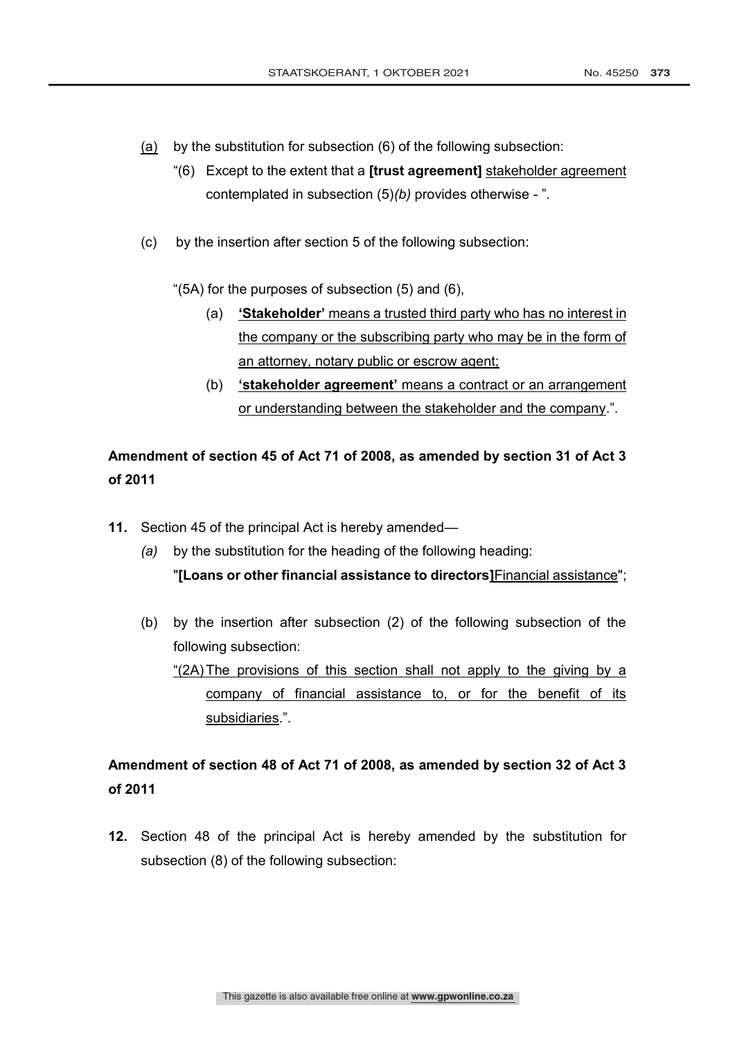- (a) by the substitution for subsection (6) of the following subsection:
	- "(6) Except to the extent that a **[trust agreement]** stakeholder agreement contemplated in subsection (5)*(b)* provides otherwise - ".
- (c) by the insertion after section 5 of the following subsection:

"(5A) for the purposes of subsection (5) and (6),

- (a) **'Stakeholder'** means a trusted third party who has no interest in the company or the subscribing party who may be in the form of an attorney, notary public or escrow agent;
- (b) **'stakeholder agreement'** means a contract or an arrangement or understanding between the stakeholder and the company.".

# **Amendment of section 45 of Act 71 of 2008, as amended by section 31 of Act 3 of 2011**

**11.** Section 45 of the principal Act is hereby amended—

subsidiaries.".

- *(a)* by the substitution for the heading of the following heading: "**[Loans or other financial assistance to directors]**Financial assistance";
- (b) by the insertion after subsection (2) of the following subsection of the following subsection: "(2A)The provisions of this section shall not apply to the giving by a company of financial assistance to, or for the benefit of its

# **Amendment of section 48 of Act 71 of 2008, as amended by section 32 of Act 3 of 2011**

**12.** Section 48 of the principal Act is hereby amended by the substitution for subsection (8) of the following subsection: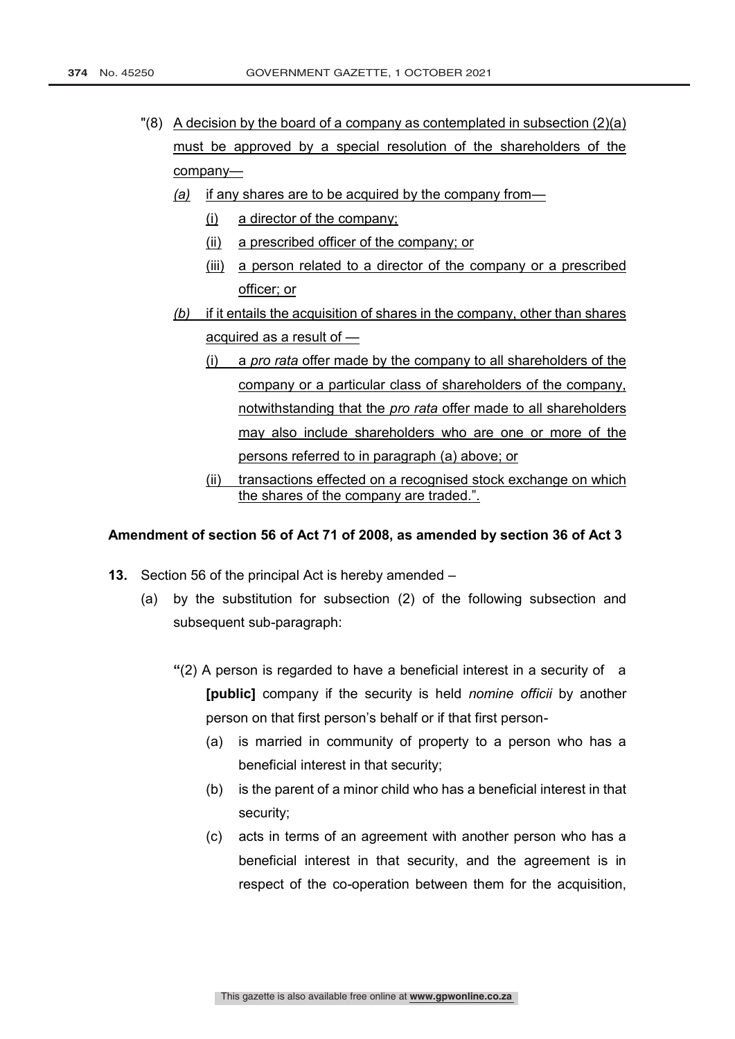- "(8) A decision by the board of a company as contemplated in subsection (2)(a) must be approved by a special resolution of the shareholders of the company—
	- *(a)* if any shares are to be acquired by the company from—
		- (i) a director of the company;
		- (ii) a prescribed officer of the company; or
		- (iii) a person related to a director of the company or a prescribed officer; or
	- *(b)* if it entails the acquisition of shares in the company, other than shares acquired as a result of —
		- (i) a *pro rata* offer made by the company to all shareholders of the company or a particular class of shareholders of the company, notwithstanding that the *pro rata* offer made to all shareholders may also include shareholders who are one or more of the persons referred to in paragraph (a) above; or
		- (ii) transactions effected on a recognised stock exchange on which the shares of the company are traded.".

#### **Amendment of section 56 of Act 71 of 2008, as amended by section 36 of Act 3**

- **13.** Section 56 of the principal Act is hereby amended
	- (a) by the substitution for subsection (2) of the following subsection and subsequent sub-paragraph:
		- **"**(2) A person is regarded to have a beneficial interest in a security of a **[public]** company if the security is held *nomine officii* by another person on that first person's behalf or if that first person-
			- (a) is married in community of property to a person who has a beneficial interest in that security;
			- (b) is the parent of a minor child who has a beneficial interest in that security;
			- (c) acts in terms of an agreement with another person who has a beneficial interest in that security, and the agreement is in respect of the co-operation between them for the acquisition,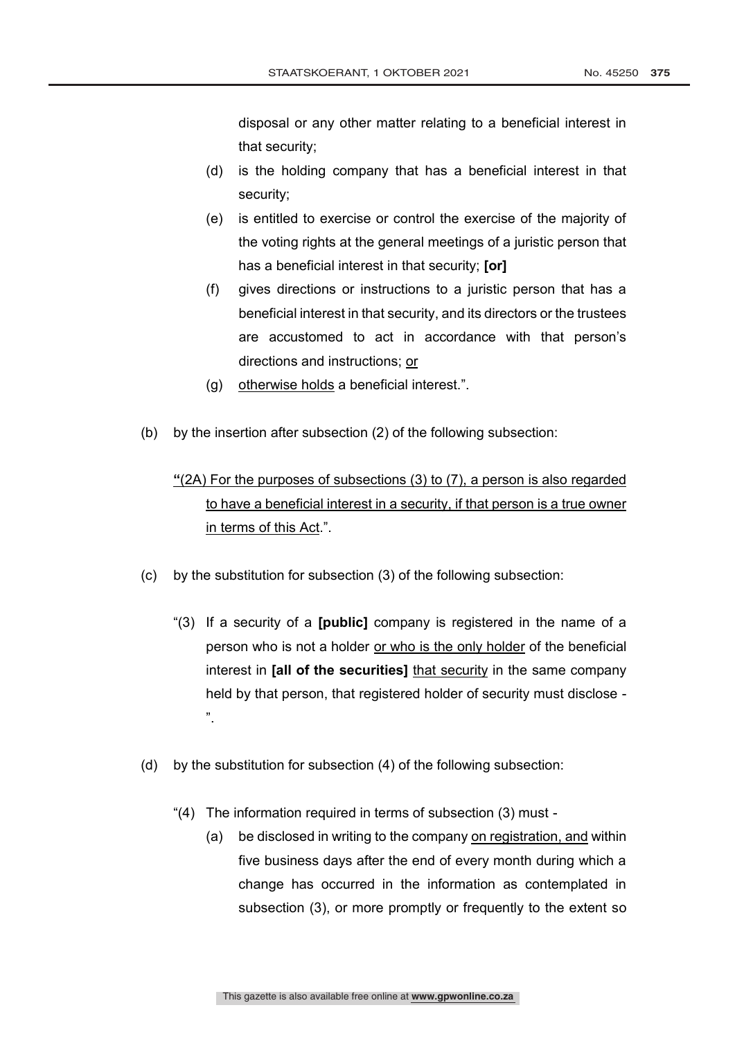disposal or any other matter relating to a beneficial interest in that security;

- (d) is the holding company that has a beneficial interest in that security;
- (e) is entitled to exercise or control the exercise of the majority of the voting rights at the general meetings of a juristic person that has a beneficial interest in that security; **[or]**
- (f) gives directions or instructions to a juristic person that has a beneficial interest in that security, and its directors or the trustees are accustomed to act in accordance with that person's directions and instructions; or
- (g) otherwise holds a beneficial interest.".
- (b) by the insertion after subsection (2) of the following subsection:

# **"**(2A) For the purposes of subsections (3) to (7), a person is also regarded to have a beneficial interest in a security, if that person is a true owner in terms of this Act.".

- (c) by the substitution for subsection (3) of the following subsection:
	- "(3) If a security of a **[public]** company is registered in the name of a person who is not a holder or who is the only holder of the beneficial interest in **[all of the securities]** that security in the same company held by that person, that registered holder of security must disclose - ".
- (d) by the substitution for subsection (4) of the following subsection:
	- "(4) The information required in terms of subsection (3) must
		- (a) be disclosed in writing to the company on registration, and within five business days after the end of every month during which a change has occurred in the information as contemplated in subsection (3), or more promptly or frequently to the extent so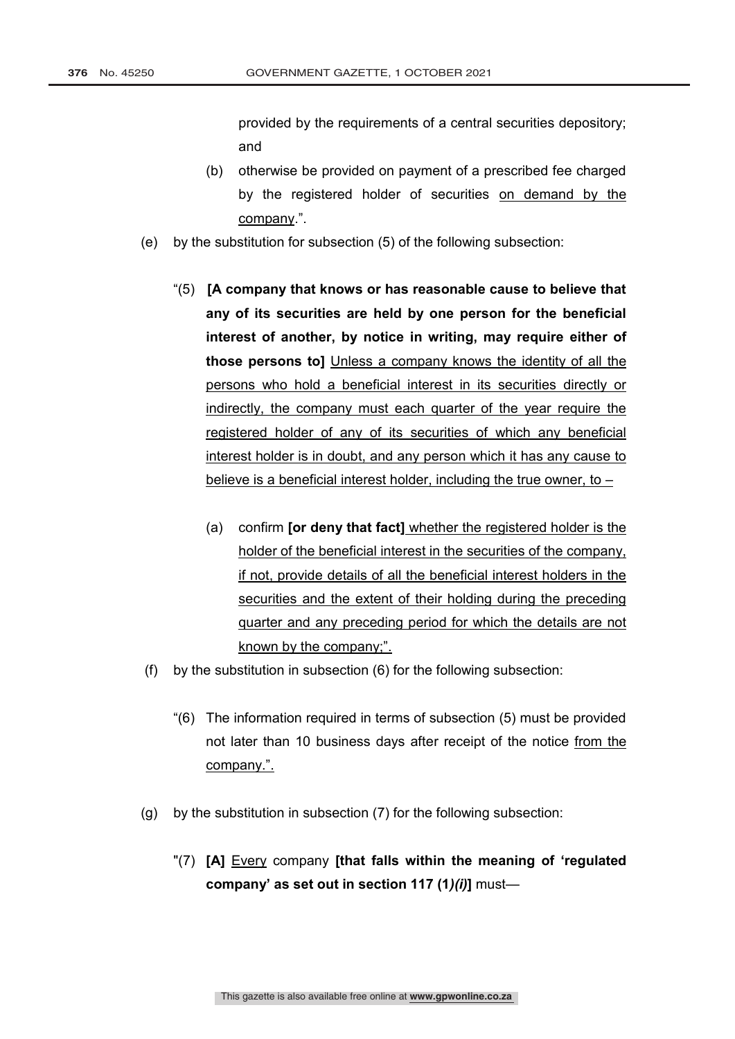provided by the requirements of a central securities depository; and

- (b) otherwise be provided on payment of a prescribed fee charged by the registered holder of securities on demand by the company.".
- (e) by the substitution for subsection (5) of the following subsection:
	- "(5) **[A company that knows or has reasonable cause to believe that any of its securities are held by one person for the beneficial interest of another, by notice in writing, may require either of those persons to]** Unless a company knows the identity of all the persons who hold a beneficial interest in its securities directly or indirectly, the company must each quarter of the year require the registered holder of any of its securities of which any beneficial interest holder is in doubt, and any person which it has any cause to believe is a beneficial interest holder, including the true owner, to –
		- (a) confirm **[or deny that fact]** whether the registered holder is the holder of the beneficial interest in the securities of the company, if not, provide details of all the beneficial interest holders in the securities and the extent of their holding during the preceding quarter and any preceding period for which the details are not known by the company;".
- (f) by the substitution in subsection (6) for the following subsection:
	- "(6) The information required in terms of subsection (5) must be provided not later than 10 business days after receipt of the notice from the company.".
- (g) by the substitution in subsection (7) for the following subsection:
	- "(7) **[A]** Every company **[that falls within the meaning of 'regulated company' as set out in section 117 (1***)(i)***]** must—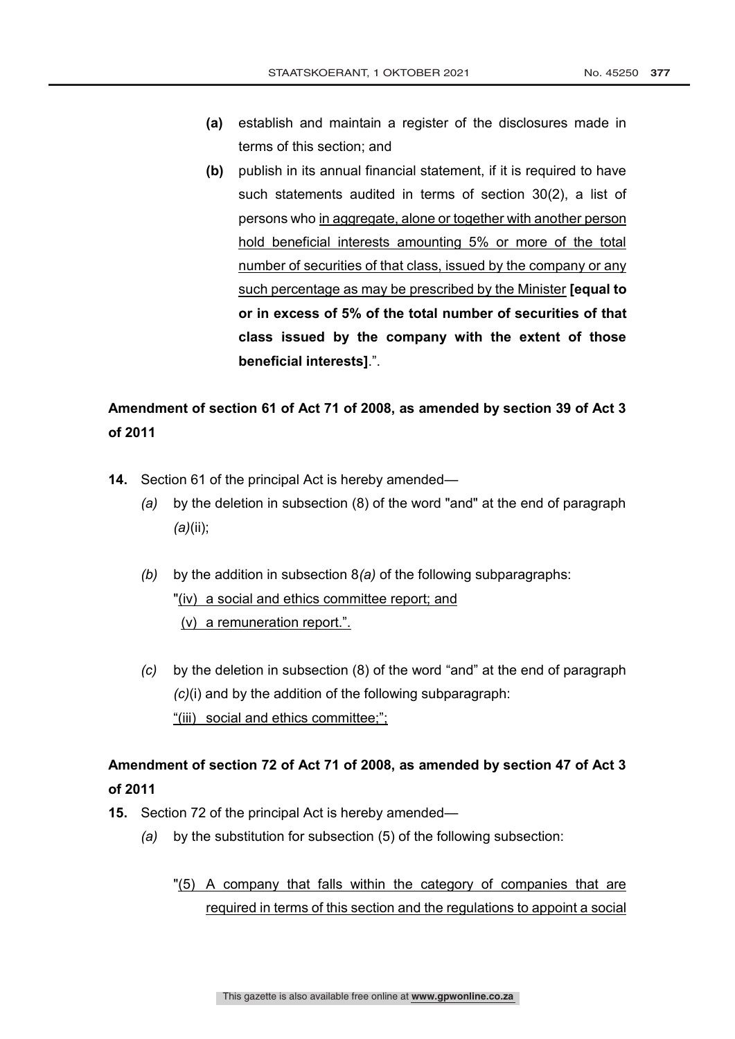- **(a)** establish and maintain a register of the disclosures made in terms of this section; and
- **(b)** publish in its annual financial statement, if it is required to have such statements audited in terms of section 30(2), a list of persons who in aggregate, alone or together with another person hold beneficial interests amounting 5% or more of the total number of securities of that class, issued by the company or any such percentage as may be prescribed by the Minister **[equal to or in excess of 5% of the total number of securities of that class issued by the company with the extent of those beneficial interests]**.".

# **Amendment of section 61 of Act 71 of 2008, as amended by section 39 of Act 3 of 2011**

- **14.** Section 61 of the principal Act is hereby amended—
	- *(a)* by the deletion in subsection (8) of the word "and" at the end of paragraph *(a)*(ii);
	- *(b)* by the addition in subsection 8*(a)* of the following subparagraphs: "(iv) a social and ethics committee report; and (v) a remuneration report.".
	- *(c)* by the deletion in subsection (8) of the word "and" at the end of paragraph *(c)*(i) and by the addition of the following subparagraph: "(iii) social and ethics committee;";

# **Amendment of section 72 of Act 71 of 2008, as amended by section 47 of Act 3 of 2011**

- **15.** Section 72 of the principal Act is hereby amended—
	- *(a)* by the substitution for subsection (5) of the following subsection:
		- "(5) A company that falls within the category of companies that are required in terms of this section and the regulations to appoint a social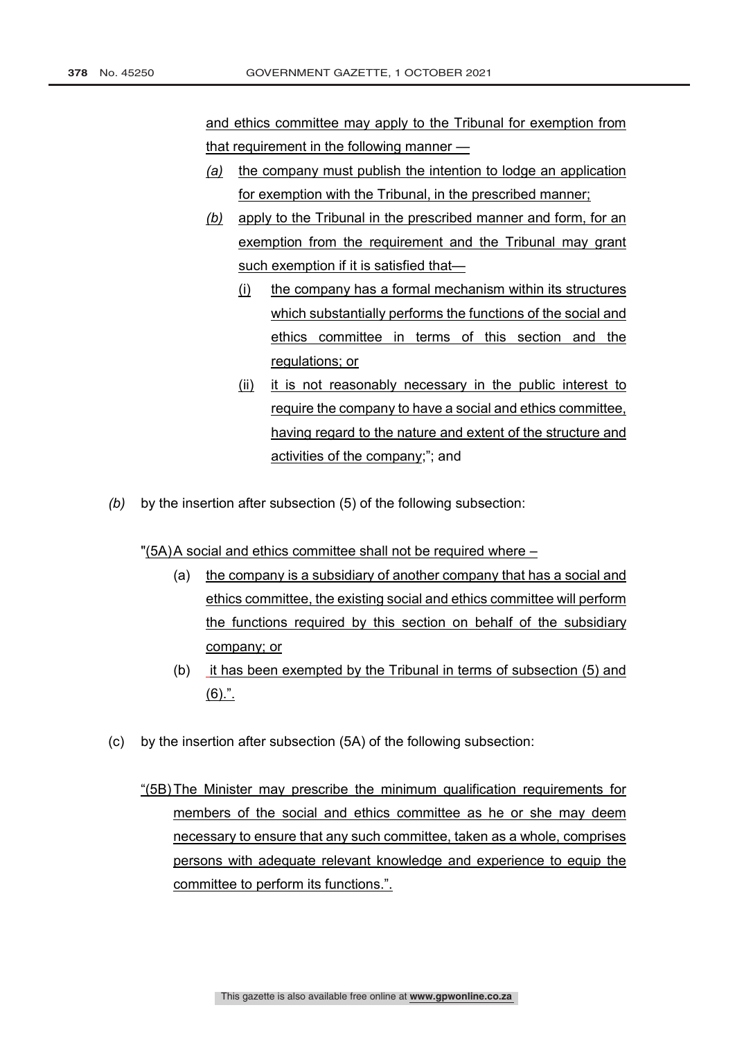and ethics committee may apply to the Tribunal for exemption from that requirement in the following manner —

- *(a)* the company must publish the intention to lodge an application for exemption with the Tribunal, in the prescribed manner;
- *(b)* apply to the Tribunal in the prescribed manner and form, for an exemption from the requirement and the Tribunal may grant such exemption if it is satisfied that—
	- (i) the company has a formal mechanism within its structures which substantially performs the functions of the social and ethics committee in terms of this section and the regulations; or
	- (ii) it is not reasonably necessary in the public interest to require the company to have a social and ethics committee, having regard to the nature and extent of the structure and activities of the company;"; and
- *(b)* by the insertion after subsection (5) of the following subsection:

"(5A)A social and ethics committee shall not be required where –

- (a) the company is a subsidiary of another company that has a social and ethics committee, the existing social and ethics committee will perform the functions required by this section on behalf of the subsidiary company; or
- (b) it has been exempted by the Tribunal in terms of subsection (5) and (6).".
- (c) by the insertion after subsection (5A) of the following subsection:
	- "(5B)The Minister may prescribe the minimum qualification requirements for members of the social and ethics committee as he or she may deem necessary to ensure that any such committee, taken as a whole, comprises persons with adequate relevant knowledge and experience to equip the committee to perform its functions.".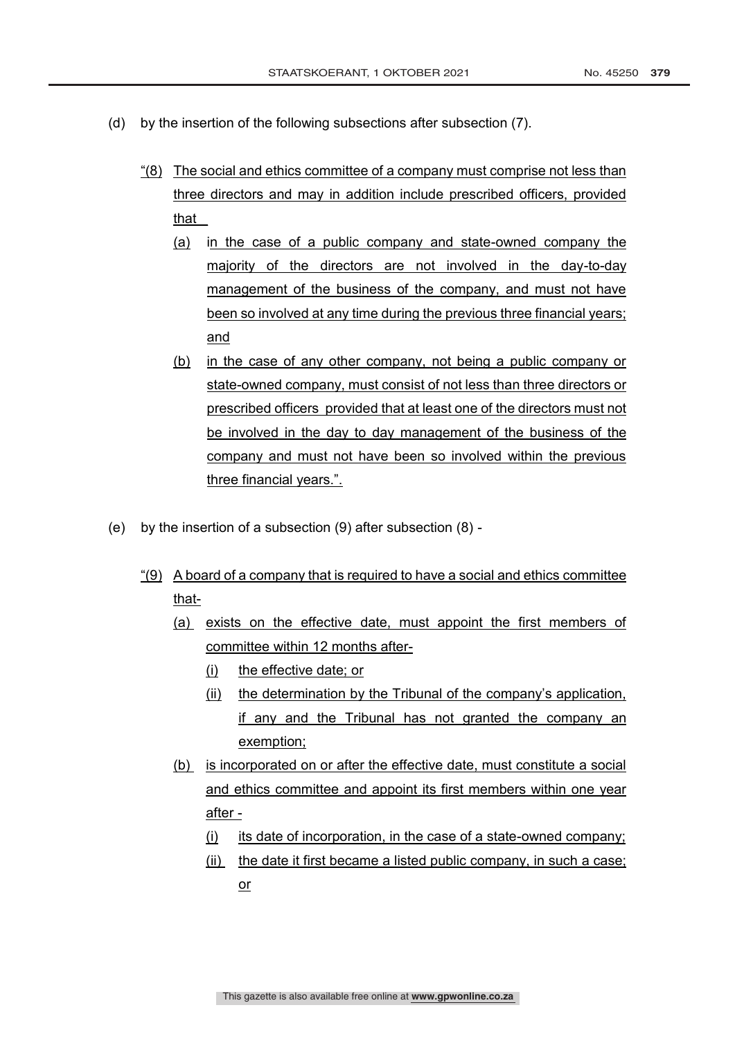- (d) by the insertion of the following subsections after subsection (7).
	- "(8) The social and ethics committee of a company must comprise not less than three directors and may in addition include prescribed officers, provided that \_
		- (a) in the case of a public company and state-owned company the majority of the directors are not involved in the day-to-day management of the business of the company, and must not have been so involved at any time during the previous three financial years; and
		- (b) in the case of any other company, not being a public company or state-owned company, must consist of not less than three directors or prescribed officers provided that at least one of the directors must not be involved in the day to day management of the business of the company and must not have been so involved within the previous three financial years.".
- (e) by the insertion of a subsection (9) after subsection (8)
	- "(9) A board of a company that is required to have a social and ethics committee that-
		- (a) exists on the effective date, must appoint the first members of committee within 12 months after-
			- (i) the effective date; or
			- (ii) the determination by the Tribunal of the company's application, if any and the Tribunal has not granted the company an exemption;
		- (b) is incorporated on or after the effective date, must constitute a social and ethics committee and appoint its first members within one year after -
			- (i) its date of incorporation, in the case of a state-owned company;
			- (ii) the date it first became a listed public company, in such a case; or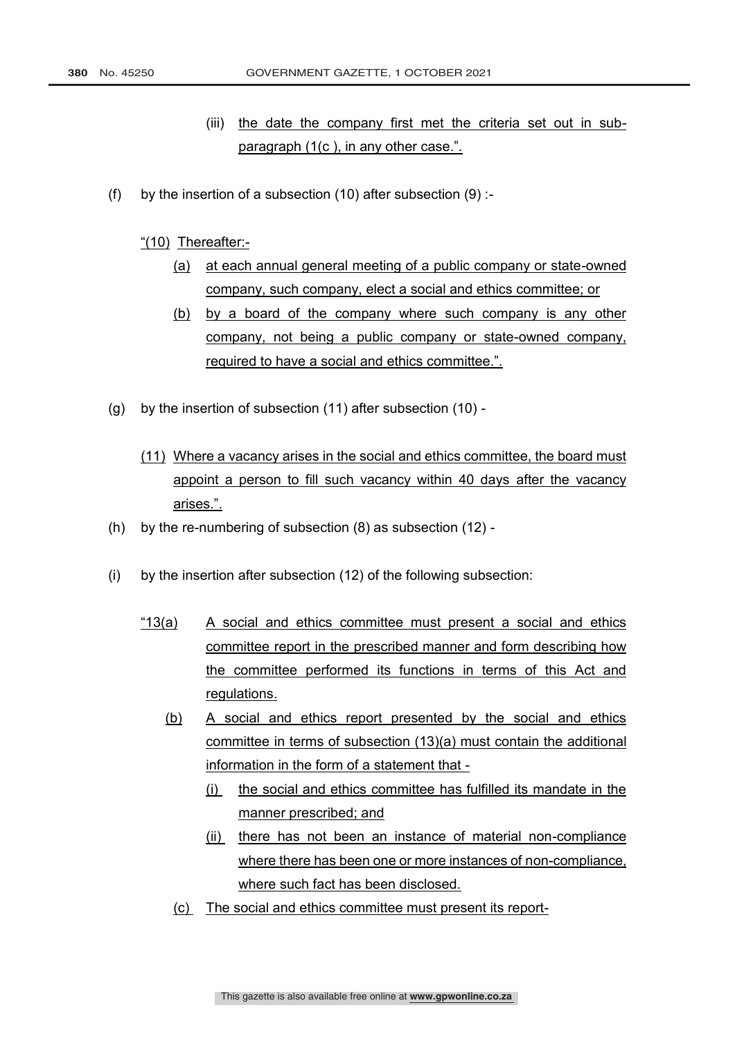- (iii) the date the company first met the criteria set out in subparagraph (1(c ), in any other case.".
- (f) by the insertion of a subsection  $(10)$  after subsection  $(9)$ :

"(10) Thereafter:-

- (a) at each annual general meeting of a public company or state-owned company, such company, elect a social and ethics committee; or
- (b) by a board of the company where such company is any other company, not being a public company or state-owned company, required to have a social and ethics committee.".
- (g) by the insertion of subsection (11) after subsection (10)
	- (11) Where a vacancy arises in the social and ethics committee, the board must appoint a person to fill such vacancy within 40 days after the vacancy arises.".
- (h) by the re-numbering of subsection (8) as subsection (12) -
- (i) by the insertion after subsection (12) of the following subsection:
	- "13(a) A social and ethics committee must present a social and ethics committee report in the prescribed manner and form describing how the committee performed its functions in terms of this Act and regulations.
		- (b) A social and ethics report presented by the social and ethics committee in terms of subsection (13)(a) must contain the additional information in the form of a statement that -
			- (i) the social and ethics committee has fulfilled its mandate in the manner prescribed; and
			- (ii) there has not been an instance of material non-compliance where there has been one or more instances of non-compliance, where such fact has been disclosed.
			- (c) The social and ethics committee must present its report-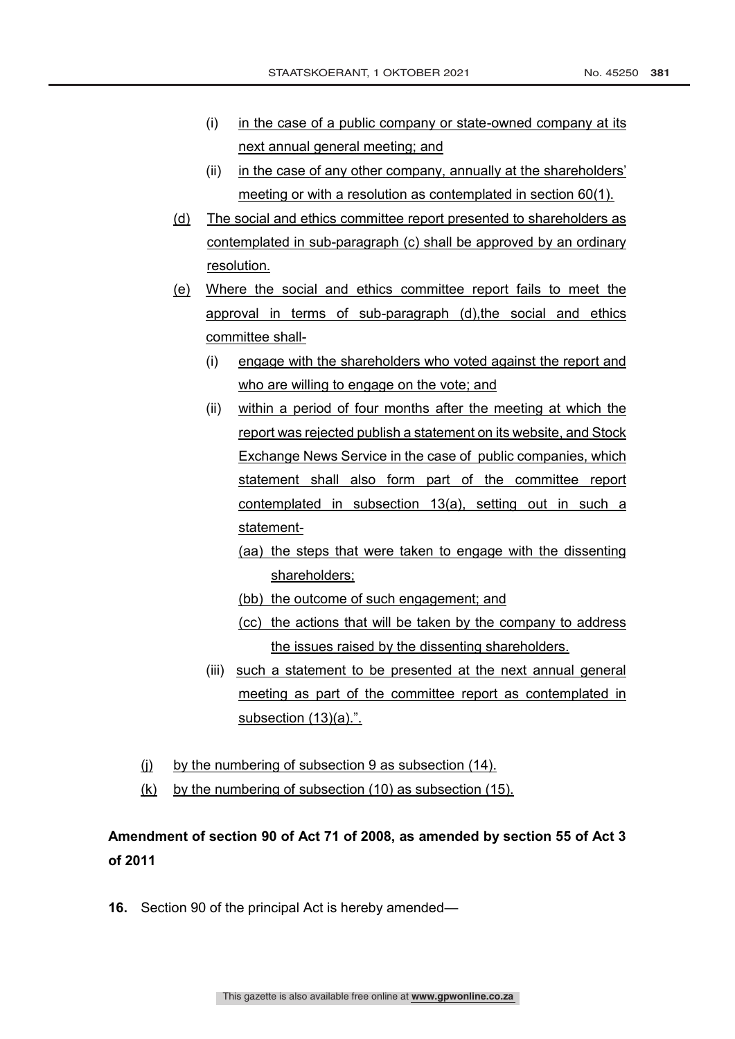- (i) in the case of a public company or state-owned company at its next annual general meeting; and
- (ii) in the case of any other company, annually at the shareholders' meeting or with a resolution as contemplated in section 60(1).
- (d) The social and ethics committee report presented to shareholders as contemplated in sub-paragraph (c) shall be approved by an ordinary resolution.
- (e) Where the social and ethics committee report fails to meet the approval in terms of sub-paragraph (d), the social and ethics committee shall-
	- (i) engage with the shareholders who voted against the report and who are willing to engage on the vote; and
	- (ii) within a period of four months after the meeting at which the report was rejected publish a statement on its website, and Stock Exchange News Service in the case of public companies, which statement shall also form part of the committee report contemplated in subsection 13(a), setting out in such a statement-
		- (aa) the steps that were taken to engage with the dissenting shareholders;
		- (bb) the outcome of such engagement; and
		- (cc) the actions that will be taken by the company to address the issues raised by the dissenting shareholders.
	- (iii) such a statement to be presented at the next annual general meeting as part of the committee report as contemplated in subsection (13)(a).".
- (j) by the numbering of subsection 9 as subsection (14).
- (k) by the numbering of subsection (10) as subsection (15).

# **Amendment of section 90 of Act 71 of 2008, as amended by section 55 of Act 3 of 2011**

**16.** Section 90 of the principal Act is hereby amended—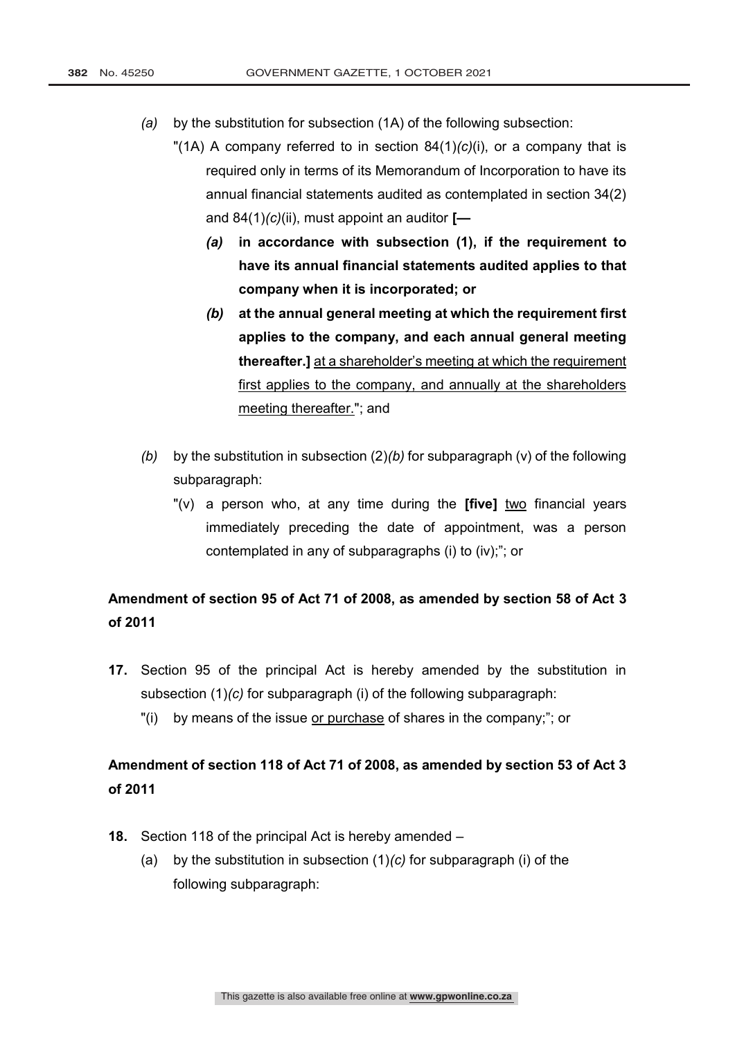- *(a)* by the substitution for subsection (1A) of the following subsection:
	- "(1A) A company referred to in section 84(1)*(c)*(i), or a company that is required only in terms of its Memorandum of Incorporation to have its annual financial statements audited as contemplated in section 34(2) and 84(1)*(c)*(ii), must appoint an auditor **[—**
		- *(a)* **in accordance with subsection (1), if the requirement to have its annual financial statements audited applies to that company when it is incorporated; or**
		- *(b)* **at the annual general meeting at which the requirement first applies to the company, and each annual general meeting thereafter.]** at a shareholder's meeting at which the requirement first applies to the company, and annually at the shareholders meeting thereafter."; and
- *(b)* by the substitution in subsection (2)*(b)* for subparagraph (v) of the following subparagraph:
	- "(v) a person who, at any time during the **[five]** two financial years immediately preceding the date of appointment, was a person contemplated in any of subparagraphs (i) to (iv);"; or

# **Amendment of section 95 of Act 71 of 2008, as amended by section 58 of Act 3 of 2011**

- **17.** Section 95 of the principal Act is hereby amended by the substitution in subsection (1)*(c)* for subparagraph (i) of the following subparagraph:
	- "(i) by means of the issue or purchase of shares in the company;"; or

# **Amendment of section 118 of Act 71 of 2008, as amended by section 53 of Act 3 of 2011**

- **18.** Section 118 of the principal Act is hereby amended
	- (a) by the substitution in subsection (1)*(c)* for subparagraph (i) of the following subparagraph: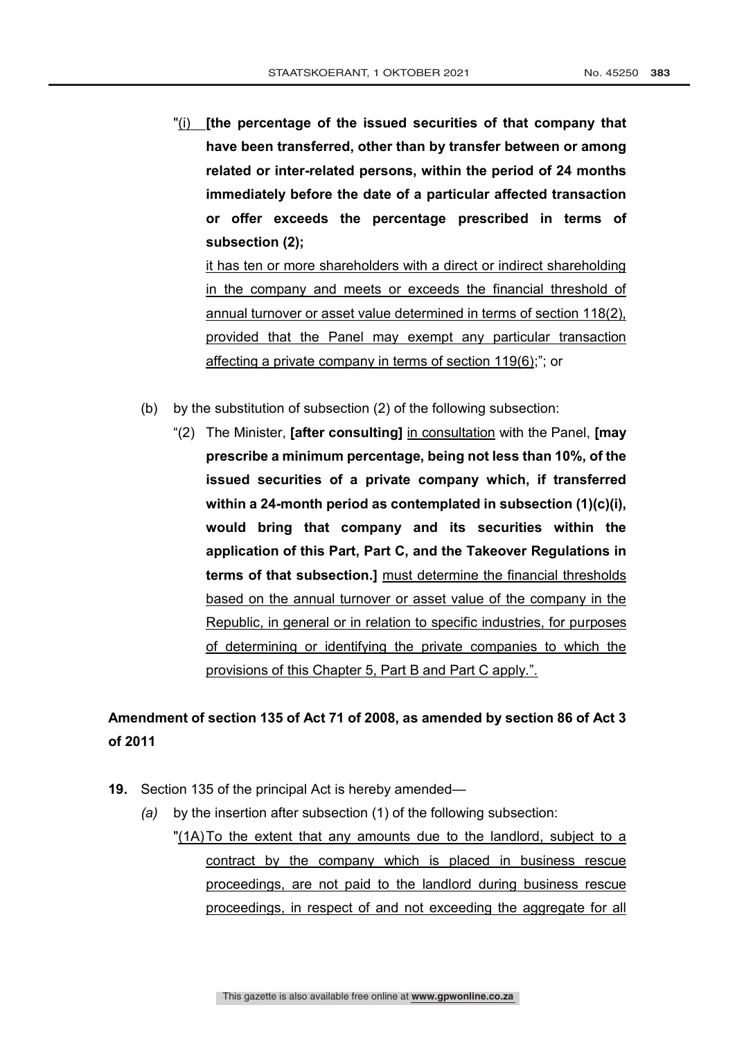"(i) **[the percentage of the issued securities of that company that have been transferred, other than by transfer between or among related or inter-related persons, within the period of 24 months immediately before the date of a particular affected transaction or offer exceeds the percentage prescribed in terms of subsection (2);**

it has ten or more shareholders with a direct or indirect shareholding in the company and meets or exceeds the financial threshold of annual turnover or asset value determined in terms of section 118(2), provided that the Panel may exempt any particular transaction affecting a private company in terms of section 119(6);"; or

- (b) by the substitution of subsection (2) of the following subsection:
	- "(2) The Minister, **[after consulting]** in consultation with the Panel, **[may prescribe a minimum percentage, being not less than 10%, of the issued securities of a private company which, if transferred within a 24-month period as contemplated in subsection (1)(c)(i), would bring that company and its securities within the application of this Part, Part C, and the Takeover Regulations in terms of that subsection.]** must determine the financial thresholds based on the annual turnover or asset value of the company in the Republic, in general or in relation to specific industries, for purposes of determining or identifying the private companies to which the provisions of this Chapter 5, Part B and Part C apply.".

# **Amendment of section 135 of Act 71 of 2008, as amended by section 86 of Act 3 of 2011**

- **19.** Section 135 of the principal Act is hereby amended—
	- *(a)* by the insertion after subsection (1) of the following subsection: "(1A)To the extent that any amounts due to the landlord, subject to a contract by the company which is placed in business rescue proceedings, are not paid to the landlord during business rescue proceedings, in respect of and not exceeding the aggregate for all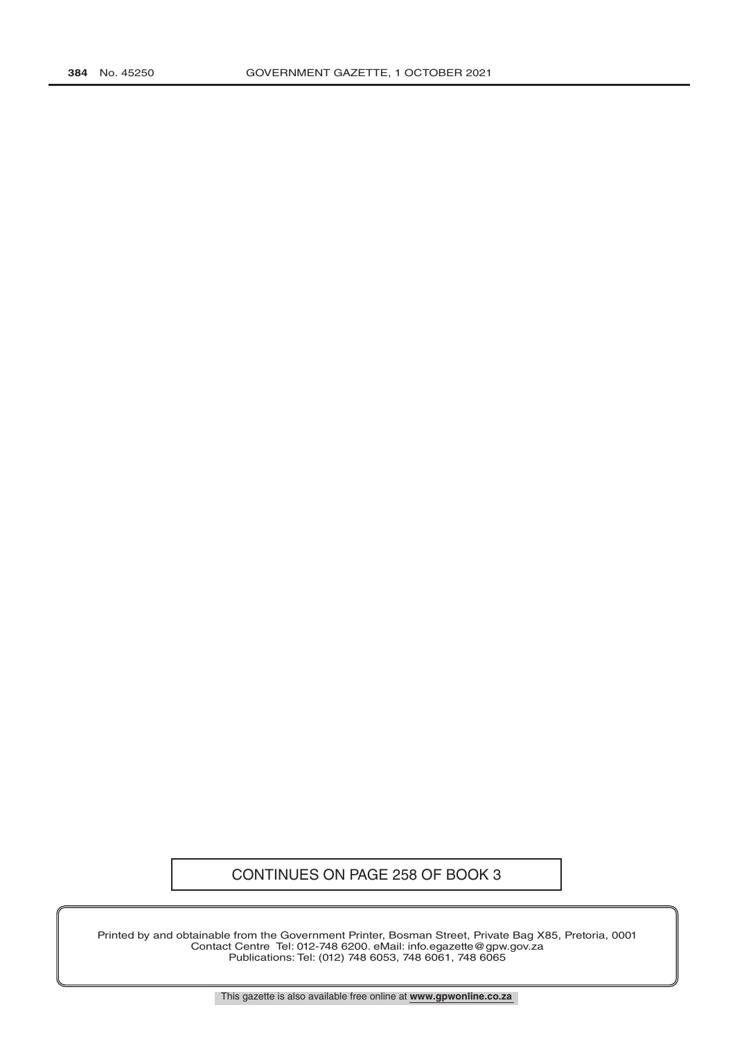# CONTINUES ON PAGE 258 OF BOOK 3

Printed by and obtainable from the Government Printer, Bosman Street, Private Bag X85, Pretoria, 0001 Contact Centre Tel: 012-748 6200. eMail: info.egazette@gpw.gov.za Publications: Tel: (012) 748 6053, 748 6061, 748 6065

This gazette is also available free online at **www.gpwonline.co.za**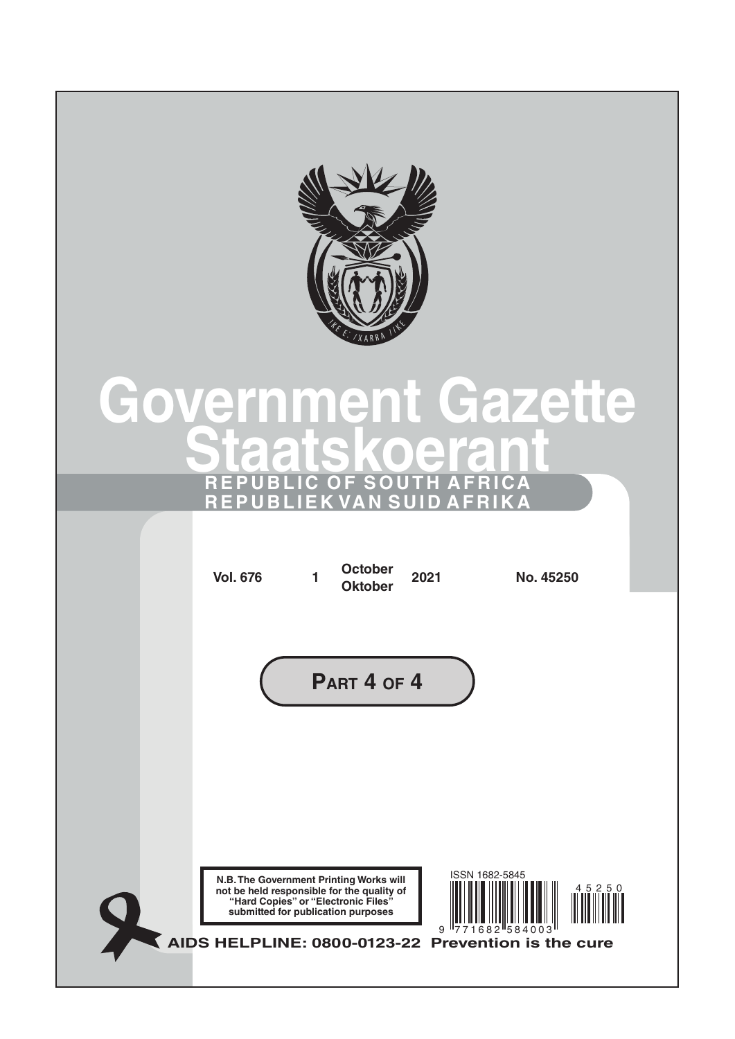

# **Government Gazette Staatskoeran REPUBLIC OF SOUTH AFRICA REPUBLIEK VAN SUID AFRIKA**

|  | <b>Vol. 676</b>                                                                                                                                                    | 1 | <b>October</b><br><b>Oktober</b> | 2021 | No. 45250                                          |       |  |
|--|--------------------------------------------------------------------------------------------------------------------------------------------------------------------|---|----------------------------------|------|----------------------------------------------------|-------|--|
|  |                                                                                                                                                                    |   | PART 4 OF 4                      |      |                                                    |       |  |
|  |                                                                                                                                                                    |   |                                  |      |                                                    |       |  |
|  | N.B. The Government Printing Works will<br>not be held responsible for the quality of<br>"Hard Copies" or "Electronic Files"<br>submitted for publication purposes |   |                                  | 9    | ISSN 1682-5845<br>$682$ <sup>158</sup>             | 45250 |  |
|  |                                                                                                                                                                    |   |                                  |      | AIDS HELPLINE: 0800-0123-22 Prevention is the cure |       |  |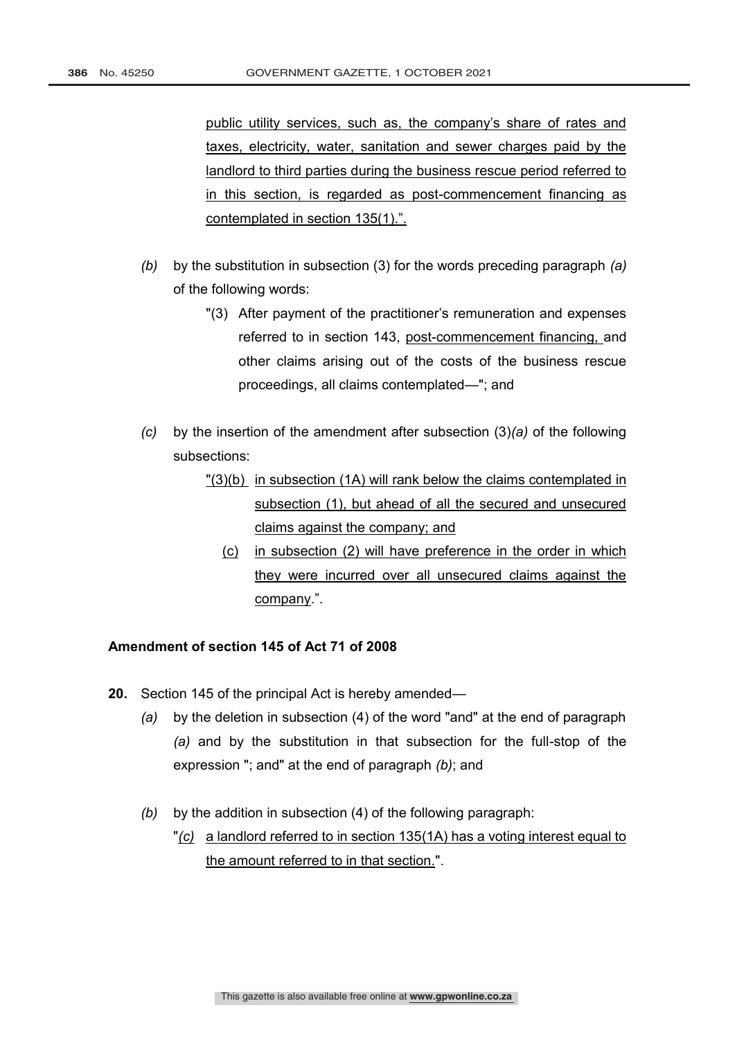public utility services, such as, the company's share of rates and taxes, electricity, water, sanitation and sewer charges paid by the landlord to third parties during the business rescue period referred to in this section, is regarded as post-commencement financing as contemplated in section 135(1).".

- *(b)* by the substitution in subsection (3) for the words preceding paragraph *(a)* of the following words:
	- "(3) After payment of the practitioner's remuneration and expenses referred to in section 143, post-commencement financing, and other claims arising out of the costs of the business rescue proceedings, all claims contemplated—"; and
- *(c)* by the insertion of the amendment after subsection (3)*(a)* of the following subsections:
	- "(3)(b) in subsection (1A) will rank below the claims contemplated in subsection (1), but ahead of all the secured and unsecured claims against the company; and
		- (c) in subsection (2) will have preference in the order in which they were incurred over all unsecured claims against the company.".

# **Amendment of section 145 of Act 71 of 2008**

- **20.** Section 145 of the principal Act is hereby amended—
	- *(a)* by the deletion in subsection (4) of the word "and" at the end of paragraph *(a)* and by the substitution in that subsection for the full-stop of the expression "; and" at the end of paragraph *(b)*; and
	- *(b)* by the addition in subsection (4) of the following paragraph:
		- "*(c)* a landlord referred to in section 135(1A) has a voting interest equal to the amount referred to in that section.".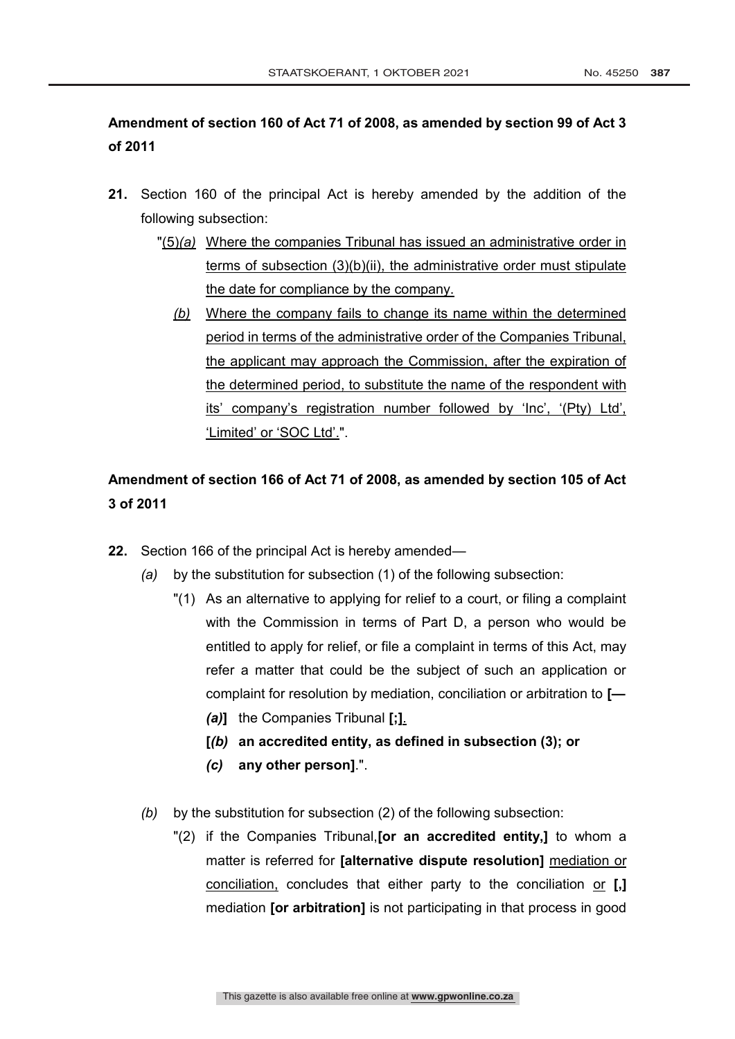# **Amendment of section 160 of Act 71 of 2008, as amended by section 99 of Act 3 of 2011**

- **21.** Section 160 of the principal Act is hereby amended by the addition of the following subsection:
	- "(5)*(a)* Where the companies Tribunal has issued an administrative order in terms of subsection (3)(b)(ii), the administrative order must stipulate the date for compliance by the company.
		- *(b)* Where the company fails to change its name within the determined period in terms of the administrative order of the Companies Tribunal, the applicant may approach the Commission, after the expiration of the determined period, to substitute the name of the respondent with its' company's registration number followed by 'Inc', '(Pty) Ltd', 'Limited' or 'SOC Ltd'.".

# **Amendment of section 166 of Act 71 of 2008, as amended by section 105 of Act 3 of 2011**

- **22.** Section 166 of the principal Act is hereby amended—
	- *(a)* by the substitution for subsection (1) of the following subsection:
		- "(1) As an alternative to applying for relief to a court, or filing a complaint with the Commission in terms of Part D, a person who would be entitled to apply for relief, or file a complaint in terms of this Act, may refer a matter that could be the subject of such an application or complaint for resolution by mediation, conciliation or arbitration to **[—** *(a)***]** the Companies Tribunal **[;]**.
			- **[***(b)* **an accredited entity, as defined in subsection (3); or**
			- *(c)* **any other person]**.".
	- *(b)* by the substitution for subsection (2) of the following subsection:
		- "(2) if the Companies Tribunal,**[or an accredited entity,]** to whom a matter is referred for **[alternative dispute resolution]** mediation or conciliation, concludes that either party to the conciliation or **[,]** mediation **[or arbitration]** is not participating in that process in good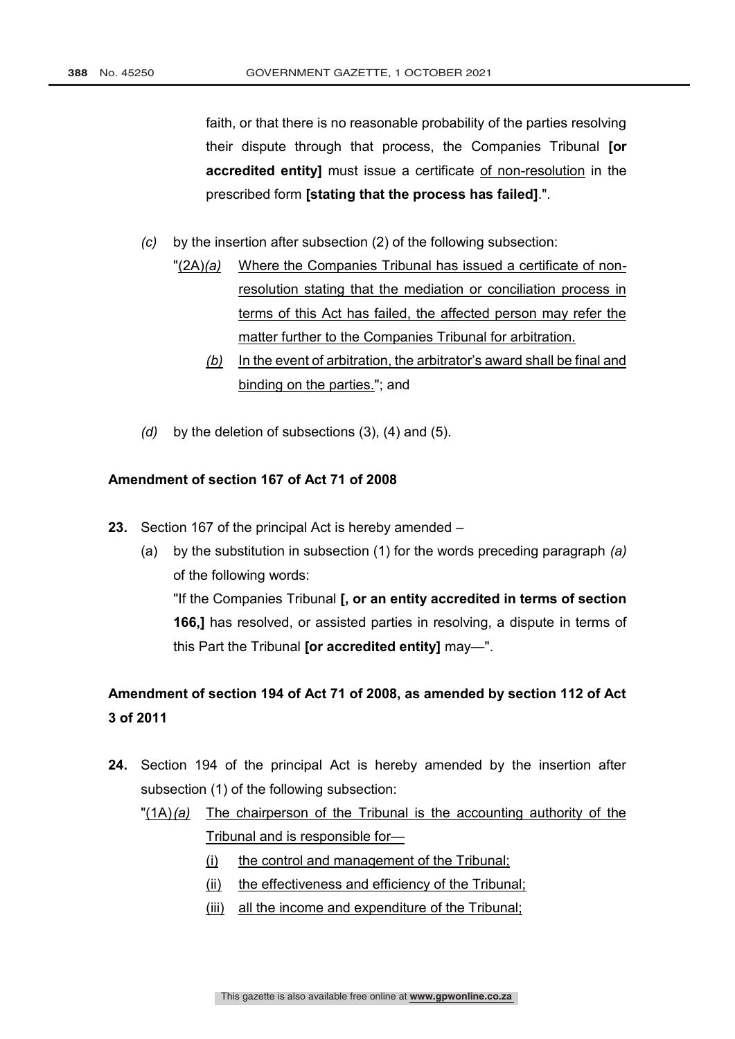faith, or that there is no reasonable probability of the parties resolving their dispute through that process, the Companies Tribunal **[or accredited entity]** must issue a certificate of non-resolution in the prescribed form **[stating that the process has failed]**.".

*(c)* by the insertion after subsection (2) of the following subsection:

- "(2A)*(a)* Where the Companies Tribunal has issued a certificate of nonresolution stating that the mediation or conciliation process in terms of this Act has failed, the affected person may refer the matter further to the Companies Tribunal for arbitration.
	- *(b)* In the event of arbitration, the arbitrator's award shall be final and binding on the parties."; and
- *(d)* by the deletion of subsections (3), (4) and (5).

# **Amendment of section 167 of Act 71 of 2008**

- **23.** Section 167 of the principal Act is hereby amended
	- (a) by the substitution in subsection (1) for the words preceding paragraph *(a)* of the following words: "If the Companies Tribunal **[, or an entity accredited in terms of section 166,]** has resolved, or assisted parties in resolving, a dispute in terms of this Part the Tribunal **[or accredited entity]** may—".

**Amendment of section 194 of Act 71 of 2008, as amended by section 112 of Act 3 of 2011**

- **24.** Section 194 of the principal Act is hereby amended by the insertion after subsection (1) of the following subsection:
	- "(1A)*(a)* The chairperson of the Tribunal is the accounting authority of the Tribunal and is responsible for—
		- (i) the control and management of the Tribunal;
		- (ii) the effectiveness and efficiency of the Tribunal;
		- (iii) all the income and expenditure of the Tribunal;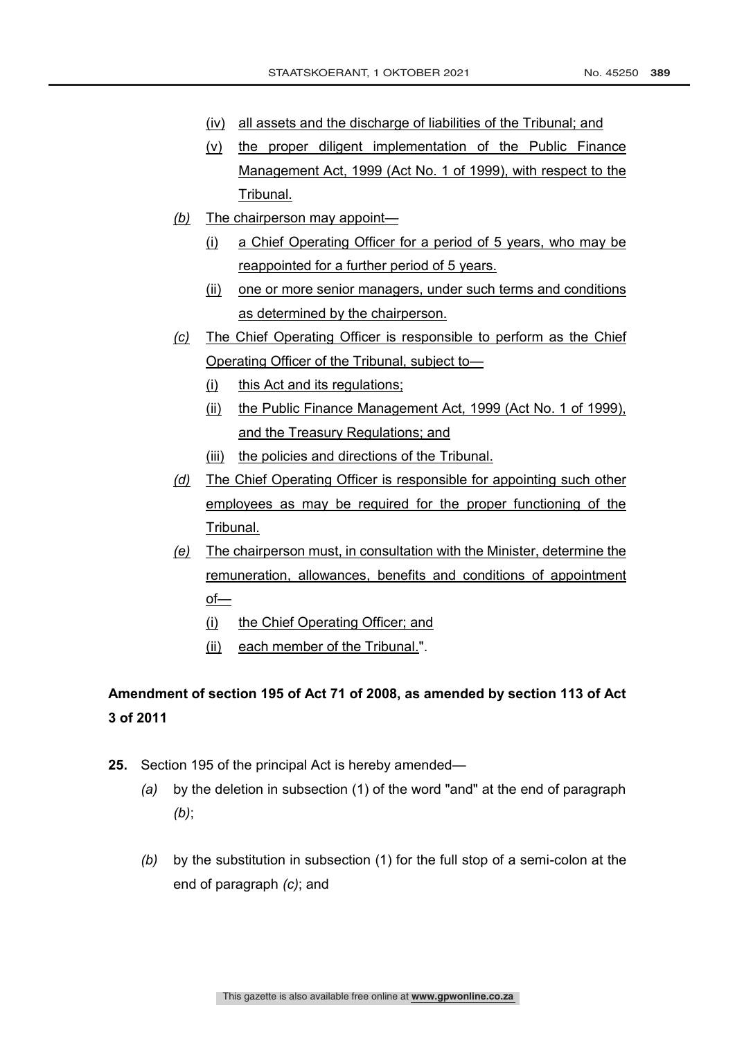- (iv) all assets and the discharge of liabilities of the Tribunal; and
- (v) the proper diligent implementation of the Public Finance Management Act, 1999 (Act No. 1 of 1999), with respect to the Tribunal.
- *(b)* The chairperson may appoint—
	- (i) a Chief Operating Officer for a period of 5 years, who may be reappointed for a further period of 5 years.
	- (ii) one or more senior managers, under such terms and conditions as determined by the chairperson.
- *(c)* The Chief Operating Officer is responsible to perform as the Chief Operating Officer of the Tribunal, subject to—
	- (i) this Act and its regulations;
	- (ii) the Public Finance Management Act, 1999 (Act No. 1 of 1999), and the Treasury Regulations; and
	- (iii) the policies and directions of the Tribunal.
- *(d)* The Chief Operating Officer is responsible for appointing such other employees as may be required for the proper functioning of the Tribunal.
- *(e)* The chairperson must, in consultation with the Minister, determine the remuneration, allowances, benefits and conditions of appointment of—
	- (i) the Chief Operating Officer; and
	- (ii) each member of the Tribunal.".

# **Amendment of section 195 of Act 71 of 2008, as amended by section 113 of Act 3 of 2011**

- **25.** Section 195 of the principal Act is hereby amended—
	- *(a)* by the deletion in subsection (1) of the word "and" at the end of paragraph *(b)*;
	- *(b)* by the substitution in subsection (1) for the full stop of a semi-colon at the end of paragraph *(c)*; and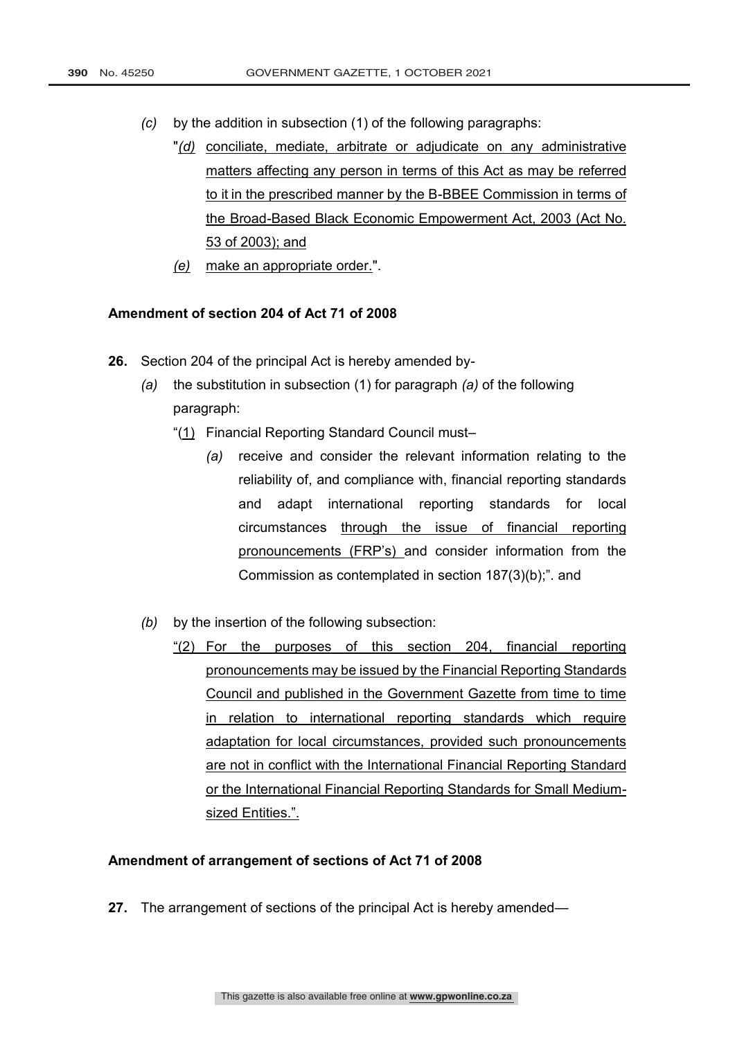- *(c)* by the addition in subsection (1) of the following paragraphs:
	- "*(d)* conciliate, mediate, arbitrate or adjudicate on any administrative matters affecting any person in terms of this Act as may be referred to it in the prescribed manner by the B-BBEE Commission in terms of the Broad-Based Black Economic Empowerment Act, 2003 (Act No. 53 of 2003); and
	- *(e)* make an appropriate order.".

## **Amendment of section 204 of Act 71 of 2008**

- **26.** Section 204 of the principal Act is hereby amended by-
	- *(a)* the substitution in subsection (1) for paragraph *(a)* of the following paragraph:
		- "(1) Financial Reporting Standard Council must–
			- *(a)* receive and consider the relevant information relating to the reliability of, and compliance with, financial reporting standards and adapt international reporting standards for local circumstances through the issue of financial reporting pronouncements (FRP's) and consider information from the Commission as contemplated in section 187(3)(b);". and
	- *(b)* by the insertion of the following subsection:
		- "(2) For the purposes of this section 204, financial reporting pronouncements may be issued by the Financial Reporting Standards Council and published in the Government Gazette from time to time in relation to international reporting standards which require adaptation for local circumstances, provided such pronouncements are not in conflict with the International Financial Reporting Standard or the International Financial Reporting Standards for Small Mediumsized Entities.".

## **Amendment of arrangement of sections of Act 71 of 2008**

**27.** The arrangement of sections of the principal Act is hereby amended—